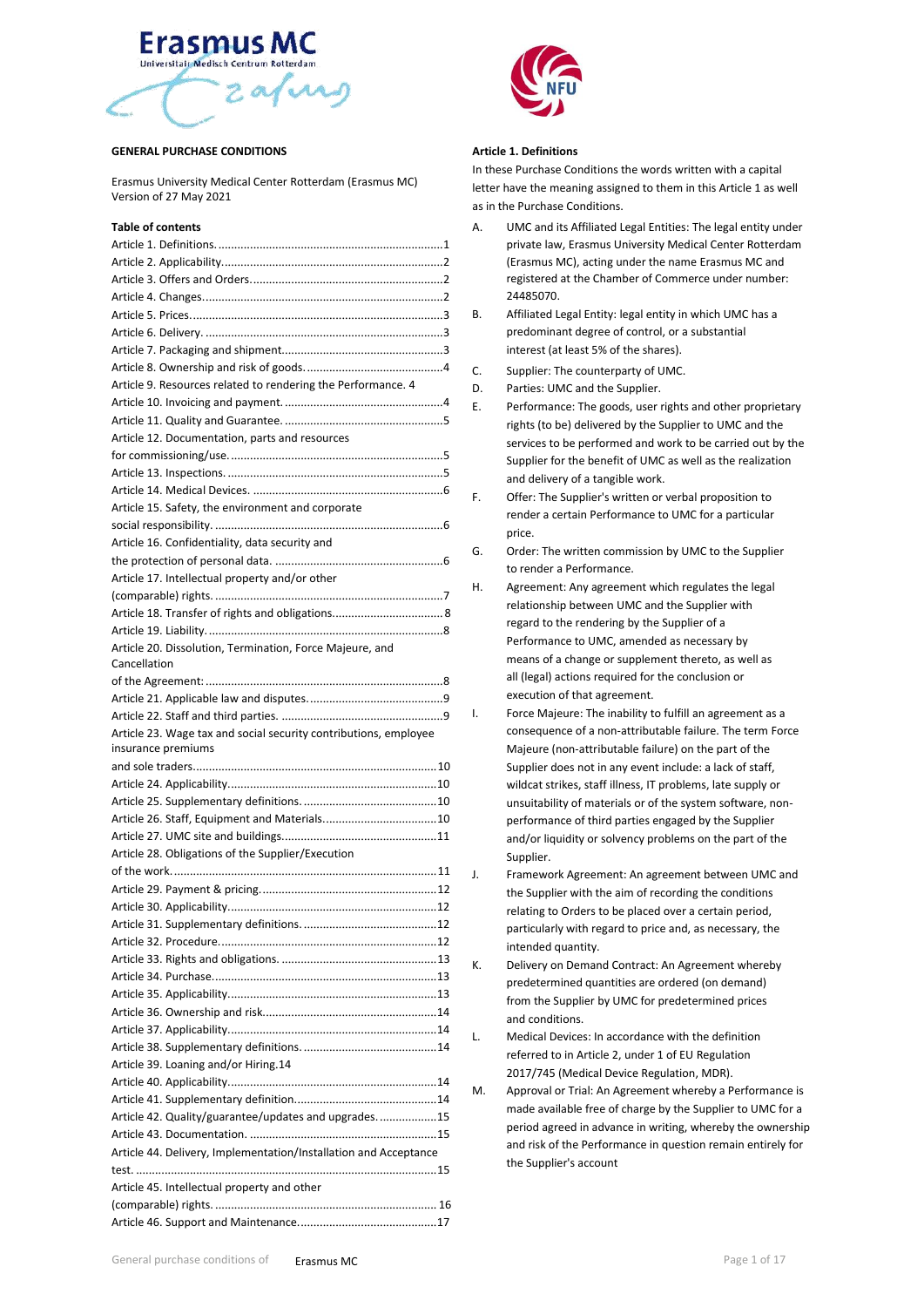# **Erasmus** Universitair Medisch Centrum Rotterdan  $2a\sqrt{2}$

#### **GENERAL PURCHASE CONDITIONS**

Erasmus University Medical Center Rotterdam (Erasmus MC) Version of 27 May 2021

# **Table of contents**

| Article 9. Resources related to rendering the Performance. 4     |
|------------------------------------------------------------------|
|                                                                  |
|                                                                  |
| Article 12. Documentation, parts and resources                   |
|                                                                  |
|                                                                  |
|                                                                  |
| Article 15. Safety, the environment and corporate                |
|                                                                  |
| Article 16. Confidentiality, data security and                   |
|                                                                  |
| Article 17. Intellectual property and/or other                   |
|                                                                  |
|                                                                  |
|                                                                  |
|                                                                  |
| Article 20. Dissolution, Termination, Force Majeure, and         |
| Cancellation                                                     |
|                                                                  |
|                                                                  |
|                                                                  |
|                                                                  |
| Article 23. Wage tax and social security contributions, employee |
| insurance premiums                                               |
|                                                                  |
|                                                                  |
|                                                                  |
|                                                                  |
|                                                                  |
| Article 28. Obligations of the Supplier/Execution                |
|                                                                  |
|                                                                  |
|                                                                  |
|                                                                  |
|                                                                  |
|                                                                  |
|                                                                  |
|                                                                  |
|                                                                  |
|                                                                  |
|                                                                  |
|                                                                  |
| Article 39. Loaning and/or Hiring.14                             |
|                                                                  |
|                                                                  |
| Article 42. Quality/guarantee/updates and upgrades. 15           |
|                                                                  |
| Article 44. Delivery, Implementation/Installation and Acceptance |
|                                                                  |
| Article 45. Intellectual property and other                      |
|                                                                  |



## <span id="page-0-0"></span>**Article 1. Definitions**

In these Purchase Conditions the words written with a capital letter have the meaning assigned to them in this Article 1 as well as in the Purchase Conditions.

- A. UMC and its Affiliated Legal Entities: The legal entity under private law, Erasmus University Medical Center Rotterdam (Erasmus MC), acting under the name Erasmus MC and registered at the Chamber of Commerce under number: 24485070.
- B. Affiliated Legal Entity: legal entity in which UMC has a predominant degree of control, or a substantial interest (at least 5% of the shares).
- C. Supplier: The counterparty of UMC.
- D. Parties: UMC and the Supplier.
- E. Performance: The goods, user rights and other proprietary rights (to be) delivered by the Supplier to UMC and the services to be performed and work to be carried out by the Supplier for the benefit of UMC as well as the realization and delivery of a tangible work.
- F. Offer: The Supplier's written or verbal proposition to render a certain Performance to UMC for a particular price.
- G. Order: The written commission by UMC to the Supplier to render a Performance.
- H. Agreement: Any agreement which regulates the legal relationship between UMC and the Supplier with regard to the rendering by the Supplier of a Performance to UMC, amended as necessary by means of a change or supplement thereto, as well as all (legal) actions required for the conclusion or execution of that agreement.
- I. Force Majeure: The inability to fulfill an agreement as a consequence of a non-attributable failure. The term Force Majeure (non-attributable failure) on the part of the Supplier does not in any event include: a lack of staff, wildcat strikes, staff illness, IT problems, late supply or unsuitability of materials or of the system software, nonperformance of third parties engaged by the Supplier and/or liquidity or solvency problems on the part of the Supplier.
- J. Framework Agreement: An agreement between UMC and the Supplier with the aim of recording the conditions relating to Orders to be placed over a certain period, particularly with regard to price and, as necessary, the intended quantity.
- K. Delivery on Demand Contract: An Agreement whereby predetermined quantities are ordered (on demand) from the Supplier by UMC for predetermined prices and conditions.
- L. Medical Devices: In accordance with the definition referred to in Article 2, under 1 of EU Regulation 2017/745 (Medical Device Regulation, MDR).
- M. Approval or Trial: An Agreement whereby a Performance is made available free of charge by the Supplier to UMC for a period agreed in advance in writing, whereby the ownership and risk of the Performance in question remain entirely for the Supplier's account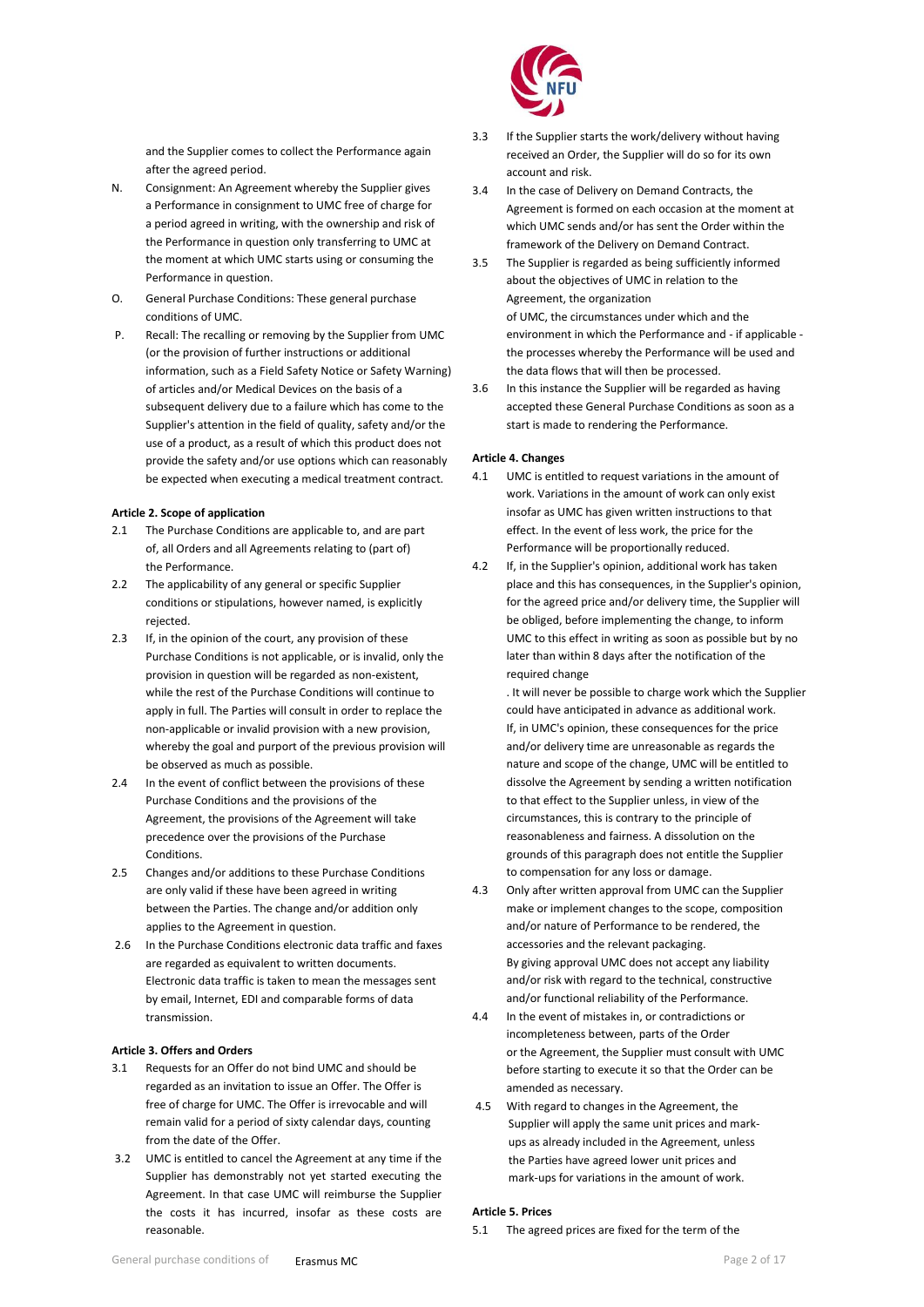and the Supplier comes to collect the Performance again after the agreed period.

- N. Consignment: An Agreement whereby the Supplier gives a Performance in consignment to UMC free of charge for a period agreed in writing, with the ownership and risk of the Performance in question only transferring to UMC at the moment at which UMC starts using or consuming the Performance in question.
- O. General Purchase Conditions: These general purchase conditions of UMC.
- P. Recall: The recalling or removing by the Supplier from UMC (or the provision of further instructions or additional information, such as a Field Safety Notice or Safety Warning) of articles and/or Medical Devices on the basis of a subsequent delivery due to a failure which has come to the Supplier's attention in the field of quality, safety and/or the use of a product, as a result of which this product does not provide the safety and/or use options which can reasonably be expected when executing a medical treatment contract.

#### <span id="page-1-0"></span>**Article 2. Scope of application**

- 2.1 The Purchase Conditions are applicable to, and are part of, all Orders and all Agreements relating to (part of) the Performance.
- 2.2 The applicability of any general or specific Supplier conditions or stipulations, however named, is explicitly rejected.
- 2.3 If, in the opinion of the court, any provision of these Purchase Conditions is not applicable, or is invalid, only the provision in question will be regarded as non-existent, while the rest of the Purchase Conditions will continue to apply in full. The Parties will consult in order to replace the non-applicable or invalid provision with a new provision, whereby the goal and purport of the previous provision will be observed as much as possible.
- 2.4 In the event of conflict between the provisions of these Purchase Conditions and the provisions of the Agreement, the provisions of the Agreement will take precedence over the provisions of the Purchase Conditions.
- 2.5 Changes and/or additions to these Purchase Conditions are only valid if these have been agreed in writing between the Parties. The change and/or addition only applies to the Agreement in question.
- 2.6 In the Purchase Conditions electronic data traffic and faxes are regarded as equivalent to written documents. Electronic data traffic is taken to mean the messages sent by email, Internet, EDI and comparable forms of data transmission.

## <span id="page-1-1"></span>**Article 3. Offers and Orders**

- 3.1 Requests for an Offer do not bind UMC and should be regarded as an invitation to issue an Offer. The Offer is free of charge for UMC. The Offer is irrevocable and will remain valid for a period of sixty calendar days, counting from the date of the Offer.
- 3.2 UMC is entitled to cancel the Agreement at any time if the Supplier has demonstrably not yet started executing the Agreement. In that case UMC will reimburse the Supplier the costs it has incurred, insofar as these costs are reasonable.



- 3.3 If the Supplier starts the work/delivery without having received an Order, the Supplier will do so for its own account and risk.
- 3.4 In the case of Delivery on Demand Contracts, the Agreement is formed on each occasion at the moment at which UMC sends and/or has sent the Order within the framework of the Delivery on Demand Contract.
- 3.5 The Supplier is regarded as being sufficiently informed about the objectives of UMC in relation to the Agreement, the organization of UMC, the circumstances under which and the environment in which the Performance and - if applicable the processes whereby the Performance will be used and the data flows that will then be processed.
- 3.6 In this instance the Supplier will be regarded as having accepted these General Purchase Conditions as soon as a start is made to rendering the Performance.

## <span id="page-1-2"></span>**Article 4. Changes**

- 4.1 UMC is entitled to request variations in the amount of work. Variations in the amount of work can only exist insofar as UMC has given written instructions to that effect. In the event of less work, the price for the Performance will be proportionally reduced.
- 4.2 If, in the Supplier's opinion, additional work has taken place and this has consequences, in the Supplier's opinion, for the agreed price and/or delivery time, the Supplier will be obliged, before implementing the change, to inform UMC to this effect in writing as soon as possible but by no later than within 8 days after the notification of the required change
	- . It will never be possible to charge work which the Supplier could have anticipated in advance as additional work. If, in UMC's opinion, these consequences for the price and/or delivery time are unreasonable as regards the nature and scope of the change, UMC will be entitled to dissolve the Agreement by sending a written notification to that effect to the Supplier unless, in view of the circumstances, this is contrary to the principle of reasonableness and fairness. A dissolution on the grounds of this paragraph does not entitle the Supplier to compensation for any loss or damage.
- 4.3 Only after written approval from UMC can the Supplier make or implement changes to the scope, composition and/or nature of Performance to be rendered, the accessories and the relevant packaging. By giving approval UMC does not accept any liability and/or risk with regard to the technical, constructive and/or functional reliability of the Performance.
- 4.4 In the event of mistakes in, or contradictions or incompleteness between, parts of the Order or the Agreement, the Supplier must consult with UMC before starting to execute it so that the Order can be amended as necessary.
- 4.5 With regard to changes in the Agreement, the Supplier will apply the same unit prices and markups as already included in the Agreement, unless the Parties have agreed lower unit prices and mark-ups for variations in the amount of work.

## <span id="page-1-3"></span>**Article 5. Prices**

5.1 The agreed prices are fixed for the term of the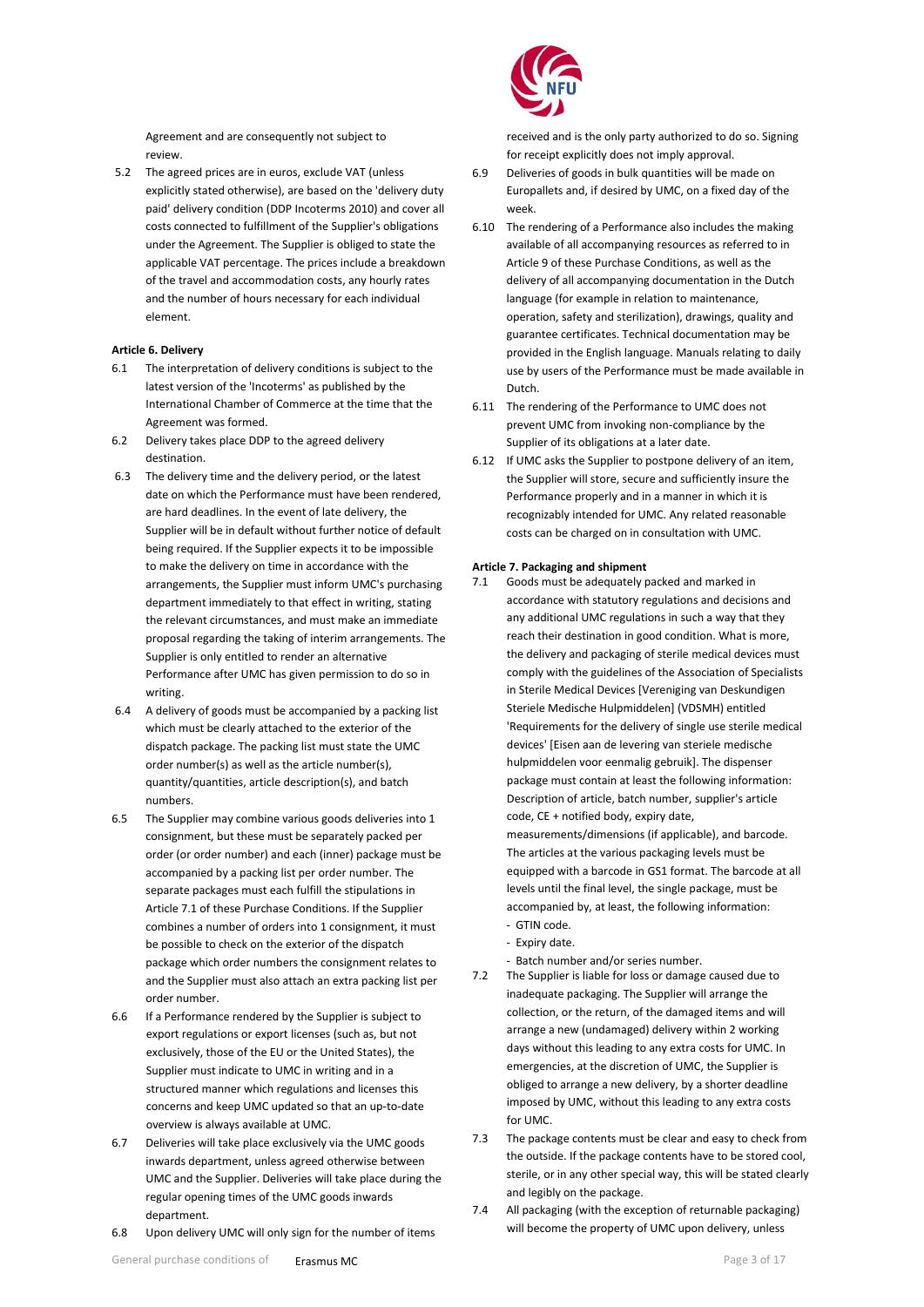Agreement and are consequently not subject to review.

5.2 The agreed prices are in euros, exclude VAT (unless explicitly stated otherwise), are based on the 'delivery duty paid' delivery condition (DDP Incoterms 2010) and cover all costs connected to fulfillment of the Supplier's obligations under the Agreement. The Supplier is obliged to state the applicable VAT percentage. The prices include a breakdown of the travel and accommodation costs, any hourly rates and the number of hours necessary for each individual element.

## <span id="page-2-0"></span>**Article 6. Delivery**

- 6.1 The interpretation of delivery conditions is subject to the latest version of the 'Incoterms' as published by the International Chamber of Commerce at the time that the Agreement was formed.
- 6.2 Delivery takes place DDP to the agreed delivery destination.
- 6.3 The delivery time and the delivery period, or the latest date on which the Performance must have been rendered, are hard deadlines. In the event of late delivery, the Supplier will be in default without further notice of default being required. If the Supplier expects it to be impossible to make the delivery on time in accordance with the arrangements, the Supplier must inform UMC's purchasing department immediately to that effect in writing, stating the relevant circumstances, and must make an immediate proposal regarding the taking of interim arrangements. The Supplier is only entitled to render an alternative Performance after UMC has given permission to do so in writing.
- 6.4 A delivery of goods must be accompanied by a packing list which must be clearly attached to the exterior of the dispatch package. The packing list must state the UMC order number(s) as well as the article number(s), quantity/quantities, article description(s), and batch numbers.
- 6.5 The Supplier may combine various goods deliveries into 1 consignment, but these must be separately packed per order (or order number) and each (inner) package must be accompanied by a packing list per order number. The separate packages must each fulfill the stipulations in Article 7.1 of these Purchase Conditions. If the Supplier combines a number of orders into 1 consignment, it must be possible to check on the exterior of the dispatch package which order numbers the consignment relates to and the Supplier must also attach an extra packing list per order number.
- 6.6 If a Performance rendered by the Supplier is subject to export regulations or export licenses (such as, but not exclusively, those of the EU or the United States), the Supplier must indicate to UMC in writing and in a structured manner which regulations and licenses this concerns and keep UMC updated so that an up-to-date overview is always available at UMC.
- 6.7 Deliveries will take place exclusively via the UMC goods inwards department, unless agreed otherwise between UMC and the Supplier. Deliveries will take place during the regular opening times of the UMC goods inwards department.
- 6.8 Upon delivery UMC will only sign for the number of items



received and is the only party authorized to do so. Signing for receipt explicitly does not imply approval.

- 6.9 Deliveries of goods in bulk quantities will be made on Europallets and, if desired by UMC, on a fixed day of the week.
- 6.10 The rendering of a Performance also includes the making available of all accompanying resources as referred to in Article 9 of these Purchase Conditions, as well as the delivery of all accompanying documentation in the Dutch language (for example in relation to maintenance, operation, safety and sterilization), drawings, quality and guarantee certificates. Technical documentation may be provided in the English language. Manuals relating to daily use by users of the Performance must be made available in Dutch.
- 6.11 The rendering of the Performance to UMC does not prevent UMC from invoking non-compliance by the Supplier of its obligations at a later date.
- 6.12 If UMC asks the Supplier to postpone delivery of an item, the Supplier will store, secure and sufficiently insure the Performance properly and in a manner in which it is recognizably intended for UMC. Any related reasonable costs can be charged on in consultation with UMC.

#### <span id="page-2-1"></span>**Article 7. Packaging and shipment**

- 7.1 Goods must be adequately packed and marked in accordance with statutory regulations and decisions and any additional UMC regulations in such a way that they reach their destination in good condition. What is more, the delivery and packaging of sterile medical devices must comply with the guidelines of the Association of Specialists in Sterile Medical Devices [Vereniging van Deskundigen Steriele Medische Hulpmiddelen] (VDSMH) entitled 'Requirements for the delivery of single use sterile medical devices' [Eisen aan de levering van steriele medische hulpmiddelen voor eenmalig gebruik]. The dispenser package must contain at least the following information: Description of article, batch number, supplier's article code, CE + notified body, expiry date, measurements/dimensions (if applicable), and barcode. The articles at the various packaging levels must be equipped with a barcode in GS1 format. The barcode at all levels until the final level, the single package, must be accompanied by, at least, the following information: - GTIN code.
	- Expiry date.
	- Batch number and/or series number.
- 7.2 The Supplier is liable for loss or damage caused due to inadequate packaging. The Supplier will arrange the collection, or the return, of the damaged items and will arrange a new (undamaged) delivery within 2 working days without this leading to any extra costs for UMC. In emergencies, at the discretion of UMC, the Supplier is obliged to arrange a new delivery, by a shorter deadline imposed by UMC, without this leading to any extra costs for UMC.
- 7.3 The package contents must be clear and easy to check from the outside. If the package contents have to be stored cool, sterile, or in any other special way, this will be stated clearly and legibly on the package.
- 7.4 All packaging (with the exception of returnable packaging) will become the property of UMC upon delivery, unless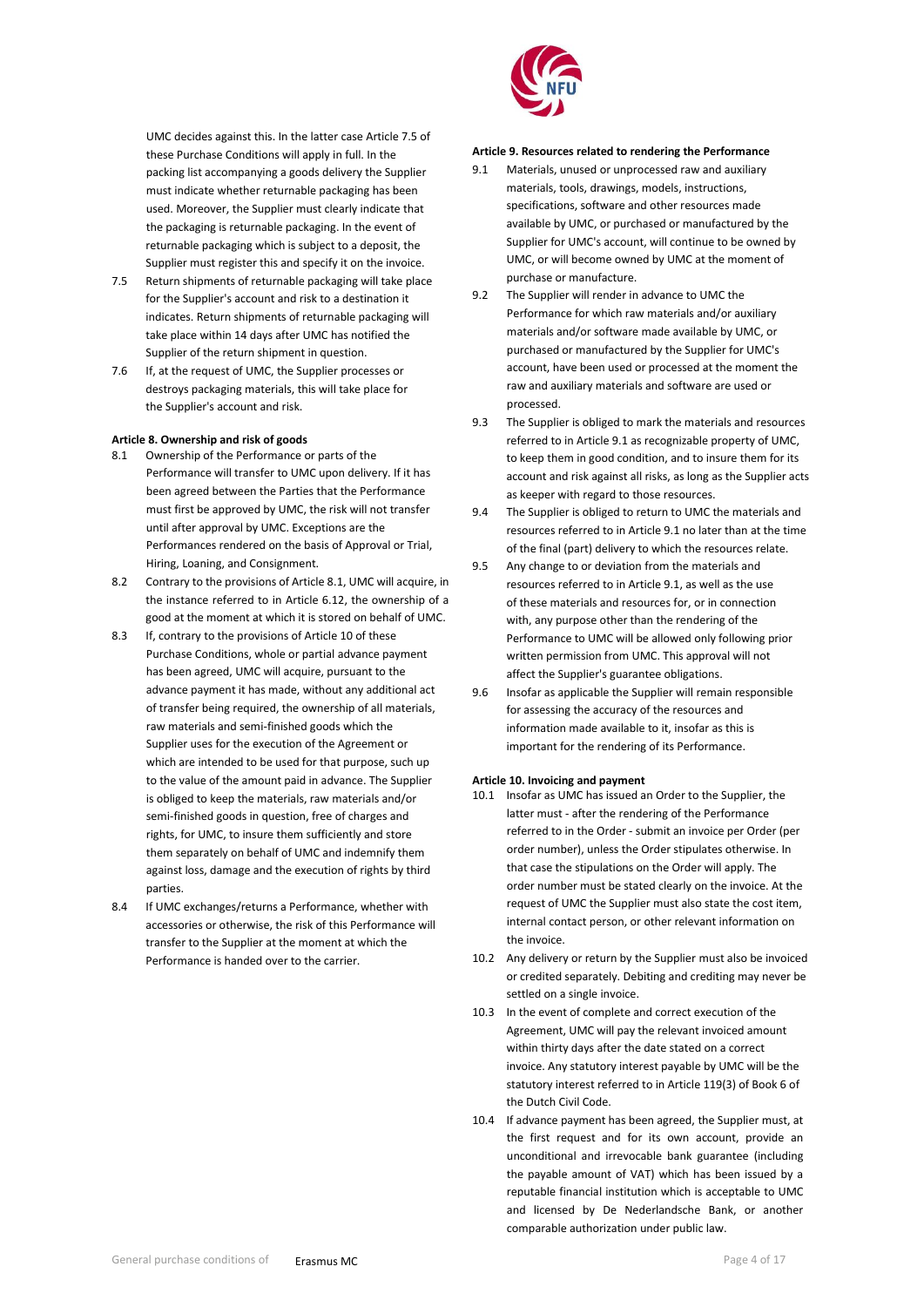UMC decides against this. In the latter case Article 7.5 of these Purchase Conditions will apply in full. In the packing list accompanying a goods delivery the Supplier must indicate whether returnable packaging has been used. Moreover, the Supplier must clearly indicate that the packaging is returnable packaging. In the event of returnable packaging which is subject to a deposit, the Supplier must register this and specify it on the invoice.

- 7.5 Return shipments of returnable packaging will take place for the Supplier's account and risk to a destination it indicates. Return shipments of returnable packaging will take place within 14 days after UMC has notified the Supplier of the return shipment in question.
- 7.6 If, at the request of UMC, the Supplier processes or destroys packaging materials, this will take place for the Supplier's account and risk.

#### <span id="page-3-0"></span>**Article 8. Ownership and risk of goods**

- 8.1 Ownership of the Performance or parts of the Performance will transfer to UMC upon delivery. If it has been agreed between the Parties that the Performance must first be approved by UMC, the risk will not transfer until after approval by UMC. Exceptions are the Performances rendered on the basis of Approval or Trial, Hiring, Loaning, and Consignment.
- 8.2 Contrary to the provisions of Article 8.1, UMC will acquire, in the instance referred to in Article 6.12, the ownership of a good at the moment at which it is stored on behalf of UMC.
- 8.3 If, contrary to the provisions of Article 10 of these Purchase Conditions, whole or partial advance payment has been agreed, UMC will acquire, pursuant to the advance payment it has made, without any additional act of transfer being required, the ownership of all materials, raw materials and semi-finished goods which the Supplier uses for the execution of the Agreement or which are intended to be used for that purpose, such up to the value of the amount paid in advance. The Supplier is obliged to keep the materials, raw materials and/or semi-finished goods in question, free of charges and rights, for UMC, to insure them sufficiently and store them separately on behalf of UMC and indemnify them against loss, damage and the execution of rights by third parties.
- 8.4 If UMC exchanges/returns a Performance, whether with accessories or otherwise, the risk of this Performance will transfer to the Supplier at the moment at which the Performance is handed over to the carrier.



## **Article 9. Resources related to rendering the Performance**

- 9.1 Materials, unused or unprocessed raw and auxiliary materials, tools, drawings, models, instructions, specifications, software and other resources made available by UMC, or purchased or manufactured by the Supplier for UMC's account, will continue to be owned by UMC, or will become owned by UMC at the moment of purchase or manufacture.
- 9.2 The Supplier will render in advance to UMC the Performance for which raw materials and/or auxiliary materials and/or software made available by UMC, or purchased or manufactured by the Supplier for UMC's account, have been used or processed at the moment the raw and auxiliary materials and software are used or processed.
- 9.3 The Supplier is obliged to mark the materials and resources referred to in Article 9.1 as recognizable property of UMC, to keep them in good condition, and to insure them for its account and risk against all risks, as long as the Supplier acts as keeper with regard to those resources.
- 9.4 The Supplier is obliged to return to UMC the materials and resources referred to in Article 9.1 no later than at the time of the final (part) delivery to which the resources relate.
- 9.5 Any change to or deviation from the materials and resources referred to in Article 9.1, as well as the use of these materials and resources for, or in connection with, any purpose other than the rendering of the Performance to UMC will be allowed only following prior written permission from UMC. This approval will not affect the Supplier's guarantee obligations.
- 9.6 Insofar as applicable the Supplier will remain responsible for assessing the accuracy of the resources and information made available to it, insofar as this is important for the rendering of its Performance.

#### <span id="page-3-1"></span>**Article 10. Invoicing and payment**

- 10.1 Insofar as UMC has issued an Order to the Supplier, the latter must - after the rendering of the Performance referred to in the Order - submit an invoice per Order (per order number), unless the Order stipulates otherwise. In that case the stipulations on the Order will apply. The order number must be stated clearly on the invoice. At the request of UMC the Supplier must also state the cost item, internal contact person, or other relevant information on the invoice.
- 10.2 Any delivery or return by the Supplier must also be invoiced or credited separately. Debiting and crediting may never be settled on a single invoice.
- 10.3 In the event of complete and correct execution of the Agreement, UMC will pay the relevant invoiced amount within thirty days after the date stated on a correct invoice. Any statutory interest payable by UMC will be the statutory interest referred to in Article 119(3) of Book 6 of the Dutch Civil Code.
- 10.4 If advance payment has been agreed, the Supplier must, at the first request and for its own account, provide an unconditional and irrevocable bank guarantee (including the payable amount of VAT) which has been issued by a reputable financial institution which is acceptable to UMC and licensed by De Nederlandsche Bank, or another comparable authorization under public law.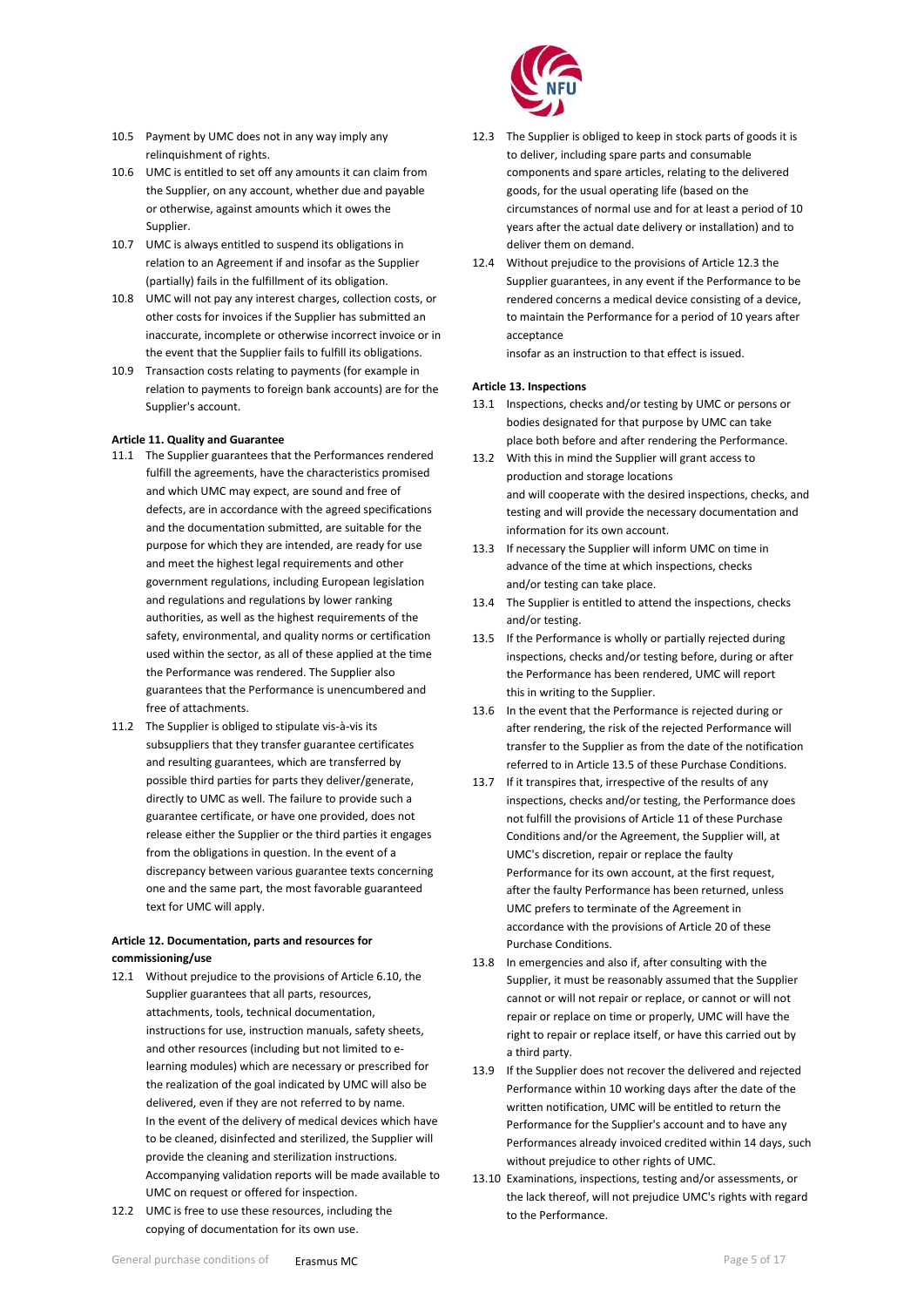- 10.5 Payment by UMC does not in any way imply any relinquishment of rights.
- 10.6 UMC is entitled to set off any amounts it can claim from the Supplier, on any account, whether due and payable or otherwise, against amounts which it owes the Supplier.
- 10.7 UMC is always entitled to suspend its obligations in relation to an Agreement if and insofar as the Supplier (partially) fails in the fulfillment of its obligation.
- 10.8 UMC will not pay any interest charges, collection costs, or other costs for invoices if the Supplier has submitted an inaccurate, incomplete or otherwise incorrect invoice or in the event that the Supplier fails to fulfill its obligations.
- 10.9 Transaction costs relating to payments (for example in relation to payments to foreign bank accounts) are for the Supplier's account.

# <span id="page-4-0"></span>**Article 11. Quality and Guarantee**

- 11.1 The Supplier guarantees that the Performances rendered fulfill the agreements, have the characteristics promised and which UMC may expect, are sound and free of defects, are in accordance with the agreed specifications and the documentation submitted, are suitable for the purpose for which they are intended, are ready for use and meet the highest legal requirements and other government regulations, including European legislation and regulations and regulations by lower ranking authorities, as well as the highest requirements of the safety, environmental, and quality norms or certification used within the sector, as all of these applied at the time the Performance was rendered. The Supplier also guarantees that the Performance is unencumbered and free of attachments.
- 11.2 The Supplier is obliged to stipulate vis-à-vis its subsuppliers that they transfer guarantee certificates and resulting guarantees, which are transferred by possible third parties for parts they deliver/generate, directly to UMC as well. The failure to provide such a guarantee certificate, or have one provided, does not release either the Supplier or the third parties it engages from the obligations in question. In the event of a discrepancy between various guarantee texts concerning one and the same part, the most favorable guaranteed text for UMC will apply.

# **Article 12. Documentation, parts and resources for commissioning/use**

- 12.1 Without prejudice to the provisions of Article 6.10, the Supplier guarantees that all parts, resources, attachments, tools, technical documentation, instructions for use, instruction manuals, safety sheets, and other resources (including but not limited to elearning modules) which are necessary or prescribed for the realization of the goal indicated by UMC will also be delivered, even if they are not referred to by name. In the event of the delivery of medical devices which have to be cleaned, disinfected and sterilized, the Supplier will provide the cleaning and sterilization instructions. Accompanying validation reports will be made available to UMC on request or offered for inspection.
- 12.2 UMC is free to use these resources, including the copying of documentation for its own use.



- 12.3 The Supplier is obliged to keep in stock parts of goods it is to deliver, including spare parts and consumable components and spare articles, relating to the delivered goods, for the usual operating life (based on the circumstances of normal use and for at least a period of 10 years after the actual date delivery or installation) and to deliver them on demand.
- 12.4 Without prejudice to the provisions of Article 12.3 the Supplier guarantees, in any event if the Performance to be rendered concerns a medical device consisting of a device, to maintain the Performance for a period of 10 years after acceptance

insofar as an instruction to that effect is issued.

## <span id="page-4-1"></span>**Article 13. Inspections**

- 13.1 Inspections, checks and/or testing by UMC or persons or bodies designated for that purpose by UMC can take place both before and after rendering the Performance.
- 13.2 With this in mind the Supplier will grant access to production and storage locations and will cooperate with the desired inspections, checks, and testing and will provide the necessary documentation and information for its own account.
- 13.3 If necessary the Supplier will inform UMC on time in advance of the time at which inspections, checks and/or testing can take place.
- 13.4 The Supplier is entitled to attend the inspections, checks and/or testing.
- 13.5 If the Performance is wholly or partially rejected during inspections, checks and/or testing before, during or after the Performance has been rendered, UMC will report this in writing to the Supplier.
- 13.6 In the event that the Performance is rejected during or after rendering, the risk of the rejected Performance will transfer to the Supplier as from the date of the notification referred to in Article 13.5 of these Purchase Conditions.
- 13.7 If it transpires that, irrespective of the results of any inspections, checks and/or testing, the Performance does not fulfill the provisions of Article 11 of these Purchase Conditions and/or the Agreement, the Supplier will, at UMC's discretion, repair or replace the faulty Performance for its own account, at the first request, after the faulty Performance has been returned, unless UMC prefers to terminate of the Agreement in accordance with the provisions of Article 20 of these Purchase Conditions.
- 13.8 In emergencies and also if, after consulting with the Supplier, it must be reasonably assumed that the Supplier cannot or will not repair or replace, or cannot or will not repair or replace on time or properly, UMC will have the right to repair or replace itself, or have this carried out by a third party.
- 13.9 If the Supplier does not recover the delivered and rejected Performance within 10 working days after the date of the written notification, UMC will be entitled to return the Performance for the Supplier's account and to have any Performances already invoiced credited within 14 days, such without prejudice to other rights of UMC.
- 13.10 Examinations, inspections, testing and/or assessments, or the lack thereof, will not prejudice UMC's rights with regard to the Performance.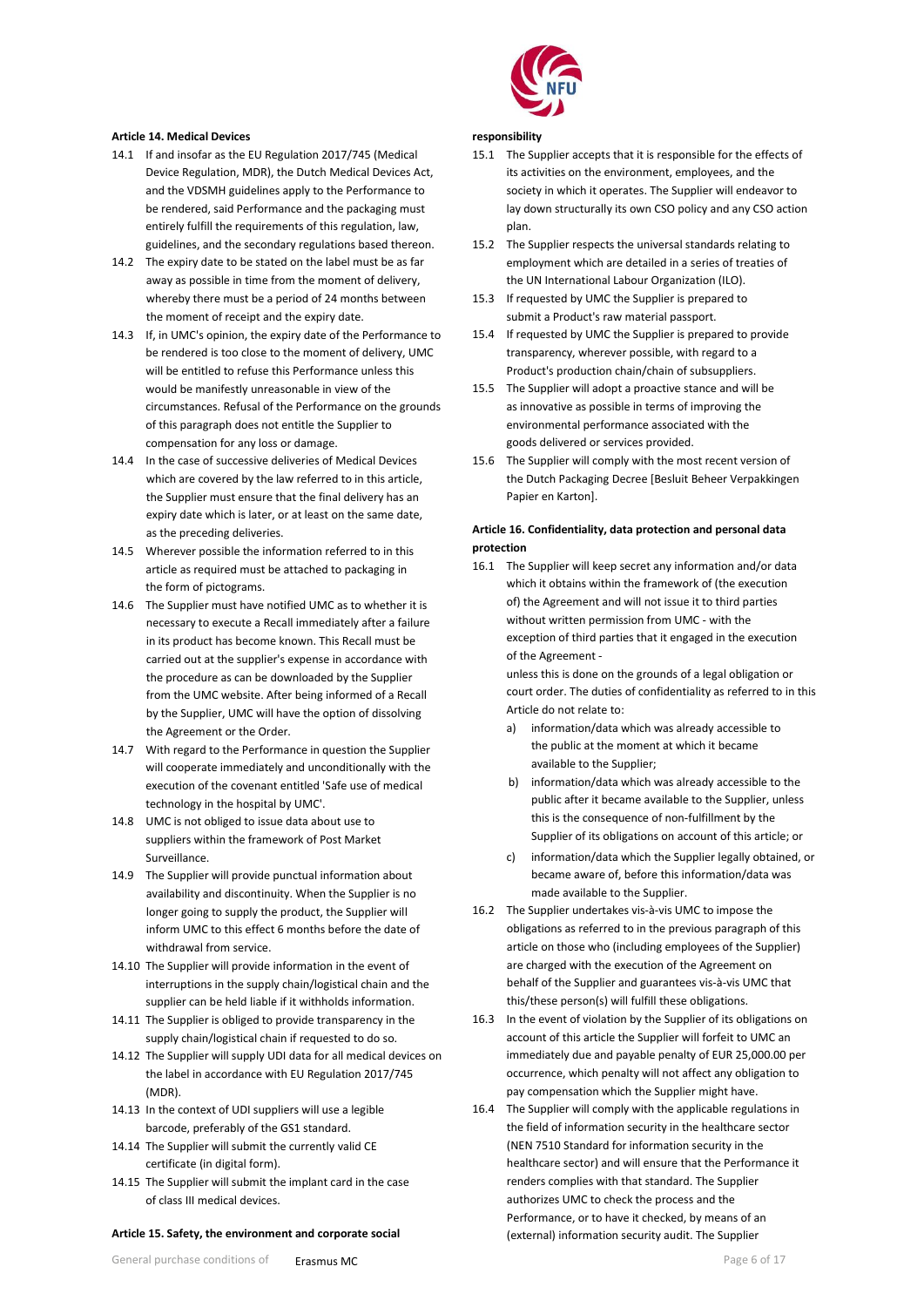#### <span id="page-5-0"></span>**Article 14. Medical Devices**

- 14.1 If and insofar as the EU Regulation 2017/745 (Medical Device Regulation, MDR), the Dutch Medical Devices Act, and the VDSMH guidelines apply to the Performance to be rendered, said Performance and the packaging must entirely fulfill the requirements of this regulation, law, guidelines, and the secondary regulations based thereon.
- 14.2 The expiry date to be stated on the label must be as far away as possible in time from the moment of delivery, whereby there must be a period of 24 months between the moment of receipt and the expiry date.
- 14.3 If, in UMC's opinion, the expiry date of the Performance to be rendered is too close to the moment of delivery, UMC will be entitled to refuse this Performance unless this would be manifestly unreasonable in view of the circumstances. Refusal of the Performance on the grounds of this paragraph does not entitle the Supplier to compensation for any loss or damage.
- 14.4 In the case of successive deliveries of Medical Devices which are covered by the law referred to in this article, the Supplier must ensure that the final delivery has an expiry date which is later, or at least on the same date, as the preceding deliveries.
- 14.5 Wherever possible the information referred to in this article as required must be attached to packaging in the form of pictograms.
- 14.6 The Supplier must have notified UMC as to whether it is necessary to execute a Recall immediately after a failure in its product has become known. This Recall must be carried out at the supplier's expense in accordance with the procedure as can be downloaded by the Supplier from the UMC website. After being informed of a Recall by the Supplier, UMC will have the option of dissolving the Agreement or the Order.
- 14.7 With regard to the Performance in question the Supplier will cooperate immediately and unconditionally with the execution of the covenant entitled 'Safe use of medical technology in the hospital by UMC'.
- 14.8 UMC is not obliged to issue data about use to suppliers within the framework of Post Market Surveillance.
- 14.9 The Supplier will provide punctual information about availability and discontinuity. When the Supplier is no longer going to supply the product, the Supplier will inform UMC to this effect 6 months before the date of withdrawal from service.
- 14.10 The Supplier will provide information in the event of interruptions in the supply chain/logistical chain and the supplier can be held liable if it withholds information.
- 14.11 The Supplier is obliged to provide transparency in the supply chain/logistical chain if requested to do so.
- 14.12 The Supplier will supply UDI data for all medical devices on the label in accordance with EU Regulation 2017/745 (MDR).
- 14.13 In the context of UDI suppliers will use a legible barcode, preferably of the GS1 standard.
- 14.14 The Supplier will submit the currently valid CE certificate (in digital form).
- 14.15 The Supplier will submit the implant card in the case of class III medical devices.

#### **Article 15. Safety, the environment and corporate social**



#### **responsibility**

- 15.1 The Supplier accepts that it is responsible for the effects of its activities on the environment, employees, and the society in which it operates. The Supplier will endeavor to lay down structurally its own CSO policy and any CSO action plan.
- 15.2 The Supplier respects the universal standards relating to employment which are detailed in a series of treaties of the UN International Labour Organization (ILO).
- 15.3 If requested by UMC the Supplier is prepared to submit a Product's raw material passport.
- 15.4 If requested by UMC the Supplier is prepared to provide transparency, wherever possible, with regard to a Product's production chain/chain of subsuppliers.
- 15.5 The Supplier will adopt a proactive stance and will be as innovative as possible in terms of improving the environmental performance associated with the goods delivered or services provided.
- 15.6 The Supplier will comply with the most recent version of the Dutch Packaging Decree [Besluit Beheer Verpakkingen Papier en Karton].

## **Article 16. Confidentiality, data protection and personal data protection**

16.1 The Supplier will keep secret any information and/or data which it obtains within the framework of (the execution of) the Agreement and will not issue it to third parties without written permission from UMC - with the exception of third parties that it engaged in the execution of the Agreement -

unless this is done on the grounds of a legal obligation or court order. The duties of confidentiality as referred to in this Article do not relate to:

- a) information/data which was already accessible to the public at the moment at which it became available to the Supplier;
- b) information/data which was already accessible to the public after it became available to the Supplier, unless this is the consequence of non-fulfillment by the Supplier of its obligations on account of this article; or
- c) information/data which the Supplier legally obtained, or became aware of, before this information/data was made available to the Supplier.
- 16.2 The Supplier undertakes vis-à-vis UMC to impose the obligations as referred to in the previous paragraph of this article on those who (including employees of the Supplier) are charged with the execution of the Agreement on behalf of the Supplier and guarantees vis-à-vis UMC that this/these person(s) will fulfill these obligations.
- 16.3 In the event of violation by the Supplier of its obligations on account of this article the Supplier will forfeit to UMC an immediately due and payable penalty of EUR 25,000.00 per occurrence, which penalty will not affect any obligation to pay compensation which the Supplier might have.
- 16.4 The Supplier will comply with the applicable regulations in the field of information security in the healthcare sector (NEN 7510 Standard for information security in the healthcare sector) and will ensure that the Performance it renders complies with that standard. The Supplier authorizes UMC to check the process and the Performance, or to have it checked, by means of an (external) information security audit. The Supplier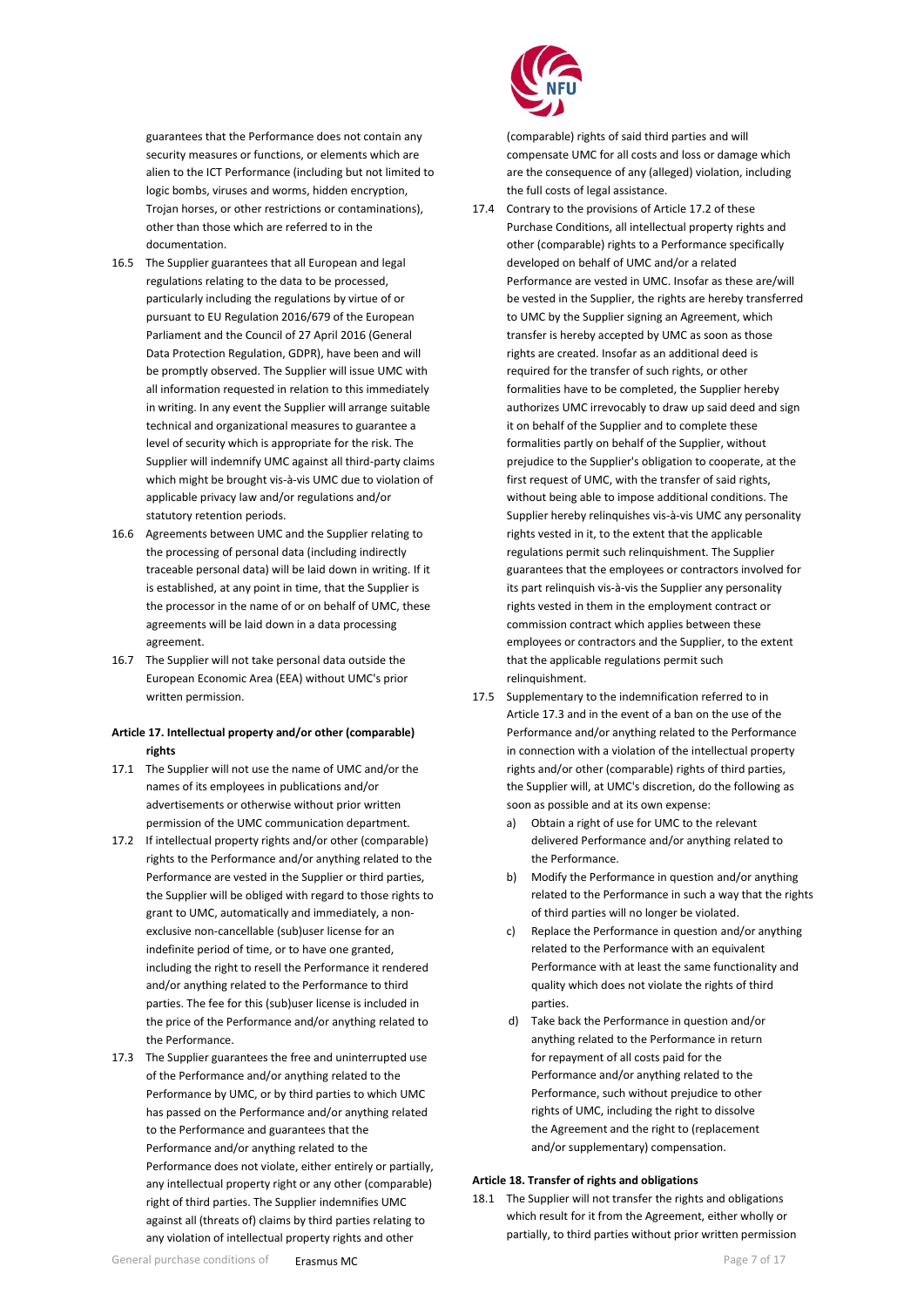guarantees that the Performance does not contain any security measures or functions, or elements which are alien to the ICT Performance (including but not limited to logic bombs, viruses and worms, hidden encryption, Trojan horses, or other restrictions or contaminations), other than those which are referred to in the documentation.

- 16.5 The Supplier guarantees that all European and legal regulations relating to the data to be processed, particularly including the regulations by virtue of or pursuant to EU Regulation 2016/679 of the European Parliament and the Council of 27 April 2016 (General Data Protection Regulation, GDPR), have been and will be promptly observed. The Supplier will issue UMC with all information requested in relation to this immediately in writing. In any event the Supplier will arrange suitable technical and organizational measures to guarantee a level of security which is appropriate for the risk. The Supplier will indemnify UMC against all third-party claims which might be brought vis-à-vis UMC due to violation of applicable privacy law and/or regulations and/or statutory retention periods.
- 16.6 Agreements between UMC and the Supplier relating to the processing of personal data (including indirectly traceable personal data) will be laid down in writing. If it is established, at any point in time, that the Supplier is the processor in the name of or on behalf of UMC, these agreements will be laid down in a data processing agreement.
- 16.7 The Supplier will not take personal data outside the European Economic Area (EEA) without UMC's prior written permission.

## **Article 17. Intellectual property and/or other (comparable) rights**

- 17.1 The Supplier will not use the name of UMC and/or the names of its employees in publications and/or advertisements or otherwise without prior written permission of the UMC communication department.
- 17.2 If intellectual property rights and/or other (comparable) rights to the Performance and/or anything related to the Performance are vested in the Supplier or third parties, the Supplier will be obliged with regard to those rights to grant to UMC, automatically and immediately, a nonexclusive non-cancellable (sub)user license for an indefinite period of time, or to have one granted, including the right to resell the Performance it rendered and/or anything related to the Performance to third parties. The fee for this (sub)user license is included in the price of the Performance and/or anything related to the Performance.
- 17.3 The Supplier guarantees the free and uninterrupted use of the Performance and/or anything related to the Performance by UMC, or by third parties to which UMC has passed on the Performance and/or anything related to the Performance and guarantees that the Performance and/or anything related to the Performance does not violate, either entirely or partially, any intellectual property right or any other (comparable) right of third parties. The Supplier indemnifies UMC against all (threats of) claims by third parties relating to any violation of intellectual property rights and other



(comparable) rights of said third parties and will compensate UMC for all costs and loss or damage which are the consequence of any (alleged) violation, including the full costs of legal assistance.

- 17.4 Contrary to the provisions of Article 17.2 of these Purchase Conditions, all intellectual property rights and other (comparable) rights to a Performance specifically developed on behalf of UMC and/or a related Performance are vested in UMC. Insofar as these are/will be vested in the Supplier, the rights are hereby transferred to UMC by the Supplier signing an Agreement, which transfer is hereby accepted by UMC as soon as those rights are created. Insofar as an additional deed is required for the transfer of such rights, or other formalities have to be completed, the Supplier hereby authorizes UMC irrevocably to draw up said deed and sign it on behalf of the Supplier and to complete these formalities partly on behalf of the Supplier, without prejudice to the Supplier's obligation to cooperate, at the first request of UMC, with the transfer of said rights, without being able to impose additional conditions. The Supplier hereby relinquishes vis-à-vis UMC any personality rights vested in it, to the extent that the applicable regulations permit such relinquishment. The Supplier guarantees that the employees or contractors involved for its part relinquish vis-à-vis the Supplier any personality rights vested in them in the employment contract or commission contract which applies between these employees or contractors and the Supplier, to the extent that the applicable regulations permit such relinquishment.
- 17.5 Supplementary to the indemnification referred to in Article 17.3 and in the event of a ban on the use of the Performance and/or anything related to the Performance in connection with a violation of the intellectual property rights and/or other (comparable) rights of third parties, the Supplier will, at UMC's discretion, do the following as soon as possible and at its own expense:
	- a) Obtain a right of use for UMC to the relevant delivered Performance and/or anything related to the Performance.
	- b) Modify the Performance in question and/or anything related to the Performance in such a way that the rights of third parties will no longer be violated.
	- c) Replace the Performance in question and/or anything related to the Performance with an equivalent Performance with at least the same functionality and quality which does not violate the rights of third parties.
	- d) Take back the Performance in question and/or anything related to the Performance in return for repayment of all costs paid for the Performance and/or anything related to the Performance, such without prejudice to other rights of UMC, including the right to dissolve the Agreement and the right to (replacement and/or supplementary) compensation.

## <span id="page-6-0"></span>**Article 18. Transfer of rights and obligations**

18.1 The Supplier will not transfer the rights and obligations which result for it from the Agreement, either wholly or partially, to third parties without prior written permission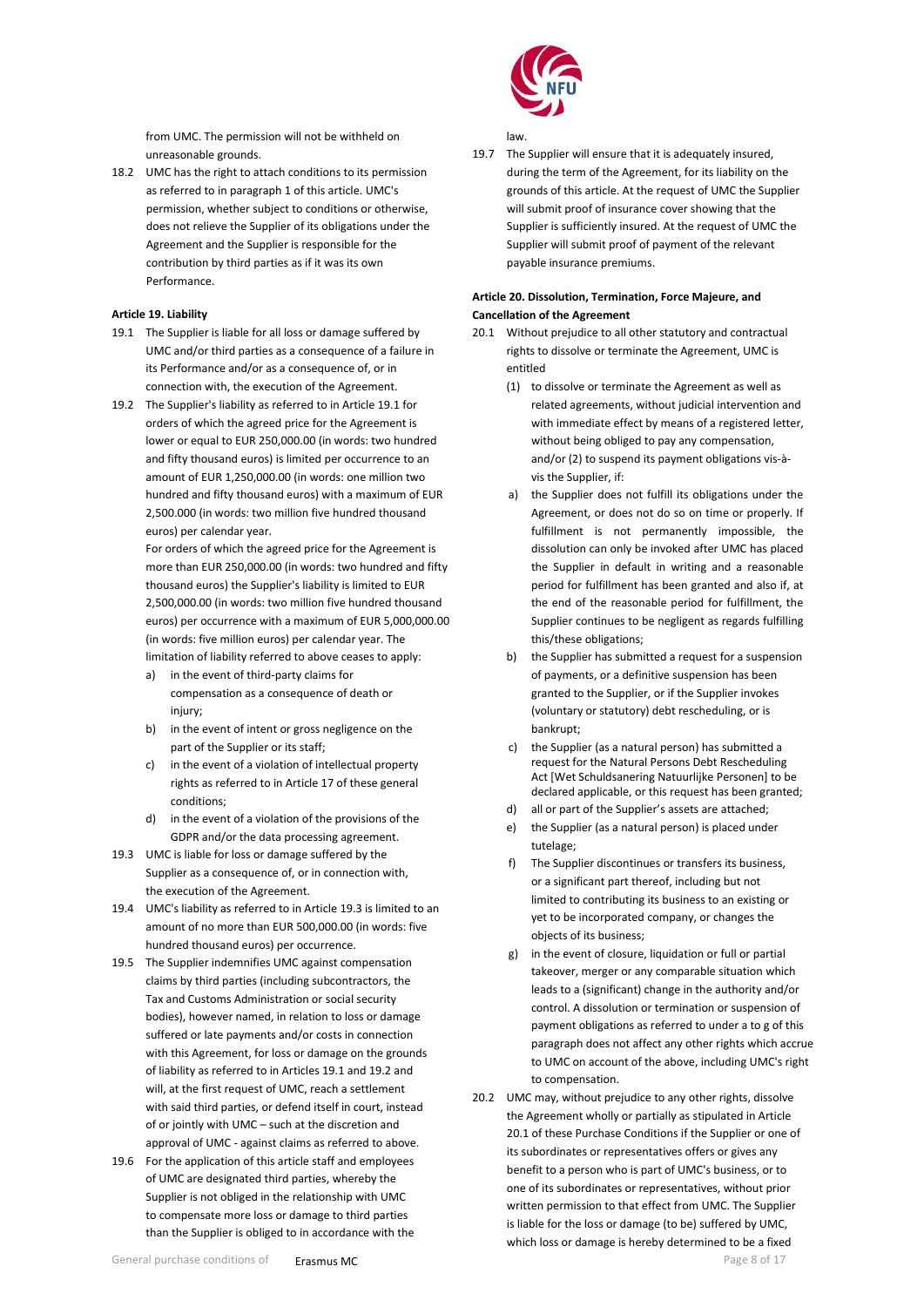from UMC. The permission will not be withheld on unreasonable grounds.

18.2 UMC has the right to attach conditions to its permission as referred to in paragraph 1 of this article. UMC's permission, whether subject to conditions or otherwise, does not relieve the Supplier of its obligations under the Agreement and the Supplier is responsible for the contribution by third parties as if it was its own Performance.

## <span id="page-7-0"></span>**Article 19. Liability**

- 19.1 The Supplier is liable for all loss or damage suffered by UMC and/or third parties as a consequence of a failure in its Performance and/or as a consequence of, or in connection with, the execution of the Agreement.
- 19.2 The Supplier's liability as referred to in Article 19.1 for orders of which the agreed price for the Agreement is lower or equal to EUR 250,000.00 (in words: two hundred and fifty thousand euros) is limited per occurrence to an amount of EUR 1,250,000.00 (in words: one million two hundred and fifty thousand euros) with a maximum of EUR 2,500.000 (in words: two million five hundred thousand euros) per calendar year.

For orders of which the agreed price for the Agreement is more than EUR 250,000.00 (in words: two hundred and fifty thousand euros) the Supplier's liability is limited to EUR 2,500,000.00 (in words: two million five hundred thousand euros) per occurrence with a maximum of EUR 5,000,000.00 (in words: five million euros) per calendar year. The limitation of liability referred to above ceases to apply:

- a) in the event of third-party claims for compensation as a consequence of death or injury:
- b) in the event of intent or gross negligence on the part of the Supplier or its staff;
- c) in the event of a violation of intellectual property rights as referred to in Article 17 of these general conditions;
- d) in the event of a violation of the provisions of the GDPR and/or the data processing agreement.
- 19.3 UMC is liable for loss or damage suffered by the Supplier as a consequence of, or in connection with, the execution of the Agreement.
- 19.4 UMC's liability as referred to in Article 19.3 is limited to an amount of no more than EUR 500,000.00 (in words: five hundred thousand euros) per occurrence.
- 19.5 The Supplier indemnifies UMC against compensation claims by third parties (including subcontractors, the Tax and Customs Administration or social security bodies), however named, in relation to loss or damage suffered or late payments and/or costs in connection with this Agreement, for loss or damage on the grounds of liability as referred to in Articles 19.1 and 19.2 and will, at the first request of UMC, reach a settlement with said third parties, or defend itself in court, instead of or jointly with UMC – such at the discretion and approval of UMC - against claims as referred to above.
- 19.6 For the application of this article staff and employees of UMC are designated third parties, whereby the Supplier is not obliged in the relationship with UMC to compensate more loss or damage to third parties than the Supplier is obliged to in accordance with the



law.

19.7 The Supplier will ensure that it is adequately insured, during the term of the Agreement, for its liability on the grounds of this article. At the request of UMC the Supplier will submit proof of insurance cover showing that the Supplier is sufficiently insured. At the request of UMC the Supplier will submit proof of payment of the relevant payable insurance premiums.

# **Article 20. Dissolution, Termination, Force Majeure, and Cancellation of the Agreement**

- 20.1 Without prejudice to all other statutory and contractual rights to dissolve or terminate the Agreement, UMC is entitled
	- (1) to dissolve or terminate the Agreement as well as related agreements, without judicial intervention and with immediate effect by means of a registered letter, without being obliged to pay any compensation. and/or (2) to suspend its payment obligations vis-àvis the Supplier, if:
	- a) the Supplier does not fulfill its obligations under the Agreement, or does not do so on time or properly. If fulfillment is not permanently impossible, the dissolution can only be invoked after UMC has placed the Supplier in default in writing and a reasonable period for fulfillment has been granted and also if, at the end of the reasonable period for fulfillment, the Supplier continues to be negligent as regards fulfilling this/these obligations;
	- b) the Supplier has submitted a request for a suspension of payments, or a definitive suspension has been granted to the Supplier, or if the Supplier invokes (voluntary or statutory) debt rescheduling, or is bankrupt;
	- c) the Supplier (as a natural person) has submitted a request for the Natural Persons Debt Rescheduling Act [Wet Schuldsanering Natuurlijke Personen] to be declared applicable, or this request has been granted;
	- d) all or part of the Supplier's assets are attached;
	- e) the Supplier (as a natural person) is placed under tutelage;
	- f) The Supplier discontinues or transfers its business, or a significant part thereof, including but not limited to contributing its business to an existing or yet to be incorporated company, or changes the objects of its business;
	- g) in the event of closure, liquidation or full or partial takeover, merger or any comparable situation which leads to a (significant) change in the authority and/or control. A dissolution or termination or suspension of payment obligations as referred to under a to g of this paragraph does not affect any other rights which accrue to UMC on account of the above, including UMC's right to compensation.
- 20.2 UMC may, without prejudice to any other rights, dissolve the Agreement wholly or partially as stipulated in Article 20.1 of these Purchase Conditions if the Supplier or one of its subordinates or representatives offers or gives any benefit to a person who is part of UMC's business, or to one of its subordinates or representatives, without prior written permission to that effect from UMC. The Supplier is liable for the loss or damage (to be) suffered by UMC, which loss or damage is hereby determined to be a fixed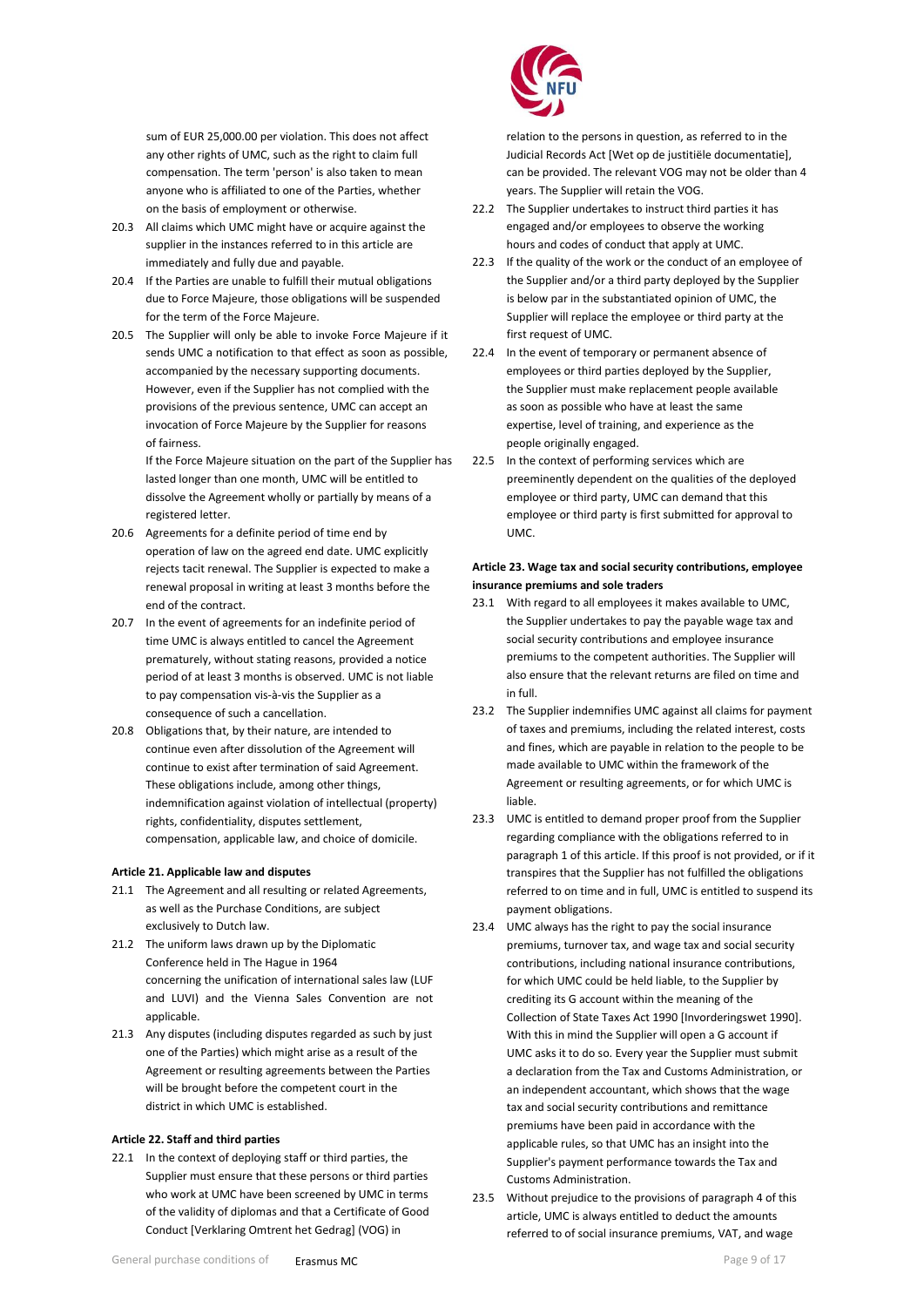sum of EUR 25,000.00 per violation. This does not affect any other rights of UMC, such as the right to claim full compensation. The term 'person' is also taken to mean anyone who is affiliated to one of the Parties, whether on the basis of employment or otherwise.

- 20.3 All claims which UMC might have or acquire against the supplier in the instances referred to in this article are immediately and fully due and payable.
- 20.4 If the Parties are unable to fulfill their mutual obligations due to Force Majeure, those obligations will be suspended for the term of the Force Majeure.
- 20.5 The Supplier will only be able to invoke Force Majeure if it sends UMC a notification to that effect as soon as possible, accompanied by the necessary supporting documents. However, even if the Supplier has not complied with the provisions of the previous sentence, UMC can accept an invocation of Force Majeure by the Supplier for reasons of fairness.

If the Force Majeure situation on the part of the Supplier has lasted longer than one month, UMC will be entitled to dissolve the Agreement wholly or partially by means of a registered letter.

- 20.6 Agreements for a definite period of time end by operation of law on the agreed end date. UMC explicitly rejects tacit renewal. The Supplier is expected to make a renewal proposal in writing at least 3 months before the end of the contract.
- 20.7 In the event of agreements for an indefinite period of time UMC is always entitled to cancel the Agreement prematurely, without stating reasons, provided a notice period of at least 3 months is observed. UMC is not liable to pay compensation vis-à-vis the Supplier as a consequence of such a cancellation.
- 20.8 Obligations that, by their nature, are intended to continue even after dissolution of the Agreement will continue to exist after termination of said Agreement. These obligations include, among other things, indemnification against violation of intellectual (property) rights, confidentiality, disputes settlement, compensation, applicable law, and choice of domicile.

# <span id="page-8-0"></span>**Article 21. Applicable law and disputes**

- 21.1 The Agreement and all resulting or related Agreements, as well as the Purchase Conditions, are subject exclusively to Dutch law.
- 21.2 The uniform laws drawn up by the Diplomatic Conference held in The Hague in 1964 concerning the unification of international sales law (LUF and LUVI) and the Vienna Sales Convention are not applicable.
- 21.3 Any disputes (including disputes regarded as such by just one of the Parties) which might arise as a result of the Agreement or resulting agreements between the Parties will be brought before the competent court in the district in which UMC is established.

#### <span id="page-8-1"></span>**Article 22. Staff and third parties**

22.1 In the context of deploying staff or third parties, the Supplier must ensure that these persons or third parties who work at UMC have been screened by UMC in terms of the validity of diplomas and that a Certificate of Good Conduct [Verklaring Omtrent het Gedrag] (VOG) in



relation to the persons in question, as referred to in the Judicial Records Act [Wet op de justitiële documentatie], can be provided. The relevant VOG may not be older than 4 years. The Supplier will retain the VOG.

- 22.2 The Supplier undertakes to instruct third parties it has engaged and/or employees to observe the working hours and codes of conduct that apply at UMC.
- 22.3 If the quality of the work or the conduct of an employee of the Supplier and/or a third party deployed by the Supplier is below par in the substantiated opinion of UMC, the Supplier will replace the employee or third party at the first request of UMC.
- 22.4 In the event of temporary or permanent absence of employees or third parties deployed by the Supplier, the Supplier must make replacement people available as soon as possible who have at least the same expertise, level of training, and experience as the people originally engaged.
- 22.5 In the context of performing services which are preeminently dependent on the qualities of the deployed employee or third party, UMC can demand that this employee or third party is first submitted for approval to UMC.

## **Article 23. Wage tax and social security contributions, employee insurance premiums and sole traders**

- 23.1 With regard to all employees it makes available to UMC, the Supplier undertakes to pay the payable wage tax and social security contributions and employee insurance premiums to the competent authorities. The Supplier will also ensure that the relevant returns are filed on time and in full.
- 23.2 The Supplier indemnifies UMC against all claims for payment of taxes and premiums, including the related interest, costs and fines, which are payable in relation to the people to be made available to UMC within the framework of the Agreement or resulting agreements, or for which UMC is liable.
- 23.3 UMC is entitled to demand proper proof from the Supplier regarding compliance with the obligations referred to in paragraph 1 of this article. If this proof is not provided, or if it transpires that the Supplier has not fulfilled the obligations referred to on time and in full, UMC is entitled to suspend its payment obligations.
- 23.4 UMC always has the right to pay the social insurance premiums, turnover tax, and wage tax and social security contributions, including national insurance contributions, for which UMC could be held liable, to the Supplier by crediting its G account within the meaning of the Collection of State Taxes Act 1990 [Invorderingswet 1990]. With this in mind the Supplier will open a G account if UMC asks it to do so. Every year the Supplier must submit a declaration from the Tax and Customs Administration, or an independent accountant, which shows that the wage tax and social security contributions and remittance premiums have been paid in accordance with the applicable rules, so that UMC has an insight into the Supplier's payment performance towards the Tax and Customs Administration.
- 23.5 Without prejudice to the provisions of paragraph 4 of this article, UMC is always entitled to deduct the amounts referred to of social insurance premiums, VAT, and wage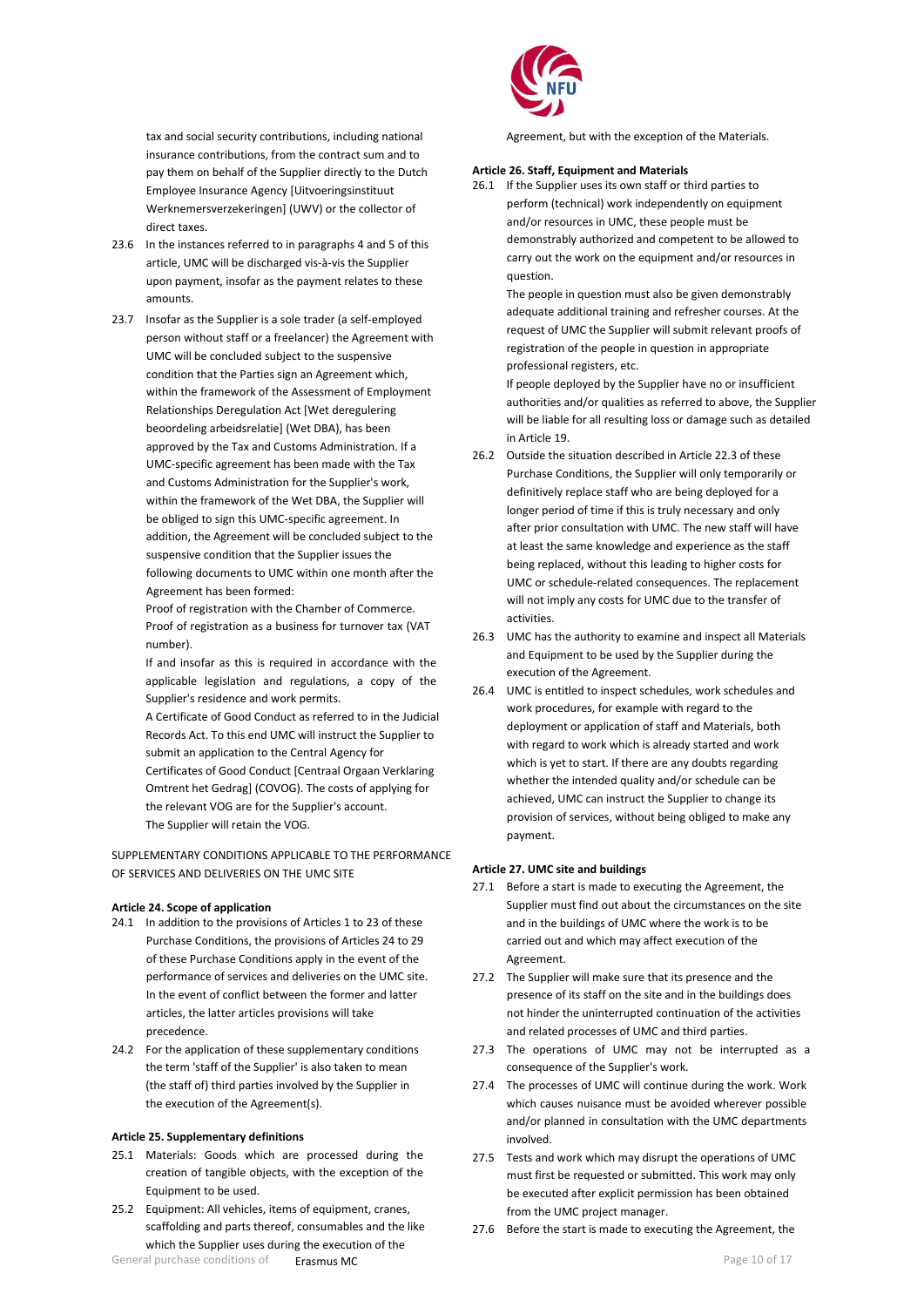tax and social security contributions, including national insurance contributions, from the contract sum and to pay them on behalf of the Supplier directly to the Dutch Employee Insurance Agency [Uitvoeringsinstituut Werknemersverzekeringen] (UWV) or the collector of direct taxes.

- 23.6 In the instances referred to in paragraphs 4 and 5 of this article, UMC will be discharged vis-à-vis the Supplier upon payment, insofar as the payment relates to these amounts.
- 23.7 Insofar as the Supplier is a sole trader (a self-employed person without staff or a freelancer) the Agreement with UMC will be concluded subject to the suspensive condition that the Parties sign an Agreement which, within the framework of the Assessment of Employment Relationships Deregulation Act [Wet deregulering beoordeling arbeidsrelatie] (Wet DBA), has been approved by the Tax and Customs Administration. If a UMC-specific agreement has been made with the Tax and Customs Administration for the Supplier's work, within the framework of the Wet DBA, the Supplier will be obliged to sign this UMC-specific agreement. In addition, the Agreement will be concluded subject to the suspensive condition that the Supplier issues the following documents to UMC within one month after the Agreement has been formed:

Proof of registration with the Chamber of Commerce. Proof of registration as a business for turnover tax (VAT number).

If and insofar as this is required in accordance with the applicable legislation and regulations, a copy of the Supplier's residence and work permits.

A Certificate of Good Conduct as referred to in the Judicial Records Act. To this end UMC will instruct the Supplier to submit an application to the Central Agency for Certificates of Good Conduct [Centraal Orgaan Verklaring Omtrent het Gedrag] (COVOG). The costs of applying for the relevant VOG are for the Supplier's account. The Supplier will retain the VOG.

SUPPLEMENTARY CONDITIONS APPLICABLE TO THE PERFORMANCE OF SERVICES AND DELIVERIES ON THE UMC SITE

## <span id="page-9-0"></span>**Article 24. Scope of application**

- 24.1 In addition to the provisions of Articles 1 to 23 of these Purchase Conditions, the provisions of Articles 24 to 29 of these Purchase Conditions apply in the event of the performance of services and deliveries on the UMC site. In the event of conflict between the former and latter articles, the latter articles provisions will take precedence.
- 24.2 For the application of these supplementary conditions the term 'staff of the Supplier' is also taken to mean (the staff of) third parties involved by the Supplier in the execution of the Agreement(s).

#### <span id="page-9-1"></span>**Article 25. Supplementary definitions**

- 25.1 Materials: Goods which are processed during the creation of tangible objects, with the exception of the Equipment to be used.
- General purchase conditions of **Erasmus MC Page 10 of 17 Page 10 of 17** 25.2 Equipment: All vehicles, items of equipment, cranes, scaffolding and parts thereof, consumables and the like which the Supplier uses during the execution of the



Agreement, but with the exception of the Materials.

#### <span id="page-9-2"></span>**Article 26. Staff, Equipment and Materials**

26.1 If the Supplier uses its own staff or third parties to perform (technical) work independently on equipment and/or resources in UMC, these people must be demonstrably authorized and competent to be allowed to carry out the work on the equipment and/or resources in question.

> The people in question must also be given demonstrably adequate additional training and refresher courses. At the request of UMC the Supplier will submit relevant proofs of registration of the people in question in appropriate professional registers, etc.

If people deployed by the Supplier have no or insufficient authorities and/or qualities as referred to above, the Supplier will be liable for all resulting loss or damage such as detailed in Article 19.

- 26.2 Outside the situation described in Article 22.3 of these Purchase Conditions, the Supplier will only temporarily or definitively replace staff who are being deployed for a longer period of time if this is truly necessary and only after prior consultation with UMC. The new staff will have at least the same knowledge and experience as the staff being replaced, without this leading to higher costs for UMC or schedule-related consequences. The replacement will not imply any costs for UMC due to the transfer of activities.
- 26.3 UMC has the authority to examine and inspect all Materials and Equipment to be used by the Supplier during the execution of the Agreement.
- 26.4 UMC is entitled to inspect schedules, work schedules and work procedures, for example with regard to the deployment or application of staff and Materials, both with regard to work which is already started and work which is yet to start. If there are any doubts regarding whether the intended quality and/or schedule can be achieved, UMC can instruct the Supplier to change its provision of services, without being obliged to make any payment.

## <span id="page-9-3"></span>**Article 27. UMC site and buildings**

- 27.1 Before a start is made to executing the Agreement, the Supplier must find out about the circumstances on the site and in the buildings of UMC where the work is to be carried out and which may affect execution of the Agreement.
- 27.2 The Supplier will make sure that its presence and the presence of its staff on the site and in the buildings does not hinder the uninterrupted continuation of the activities and related processes of UMC and third parties.
- 27.3 The operations of UMC may not be interrupted as a consequence of the Supplier's work.
- 27.4 The processes of UMC will continue during the work. Work which causes nuisance must be avoided wherever possible and/or planned in consultation with the UMC departments involved.
- 27.5 Tests and work which may disrupt the operations of UMC must first be requested or submitted. This work may only be executed after explicit permission has been obtained from the UMC project manager.
- 27.6 Before the start is made to executing the Agreement, the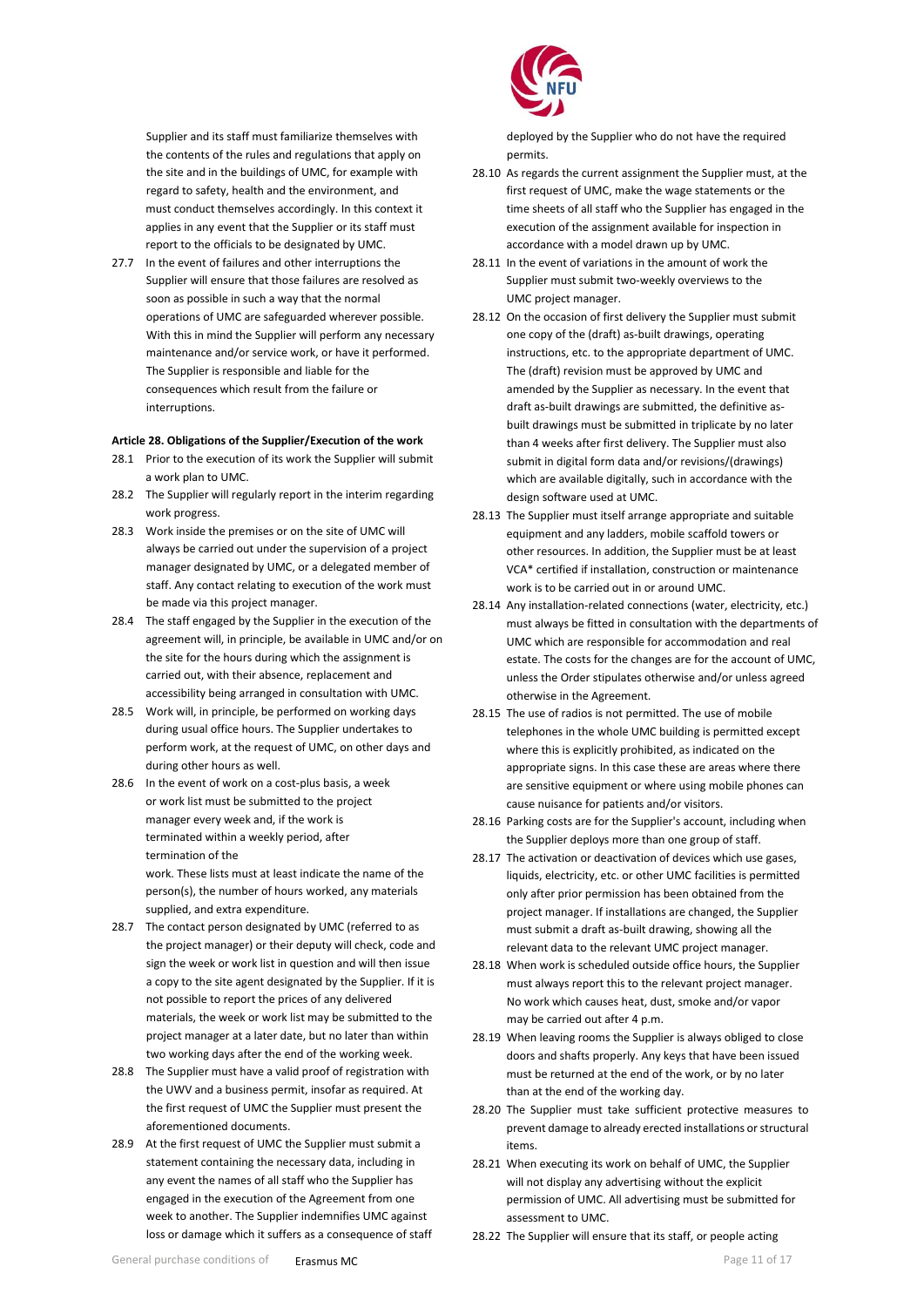Supplier and its staff must familiarize themselves with the contents of the rules and regulations that apply on the site and in the buildings of UMC, for example with regard to safety, health and the environment, and must conduct themselves accordingly. In this context it applies in any event that the Supplier or its staff must report to the officials to be designated by UMC.

27.7 In the event of failures and other interruptions the Supplier will ensure that those failures are resolved as soon as possible in such a way that the normal operations of UMC are safeguarded wherever possible. With this in mind the Supplier will perform any necessary maintenance and/or service work, or have it performed. The Supplier is responsible and liable for the consequences which result from the failure or interruptions.

## **Article 28. Obligations of the Supplier/Execution of the work**

- 28.1 Prior to the execution of its work the Supplier will submit a work plan to UMC.
- 28.2 The Supplier will regularly report in the interim regarding work progress.
- 28.3 Work inside the premises or on the site of UMC will always be carried out under the supervision of a project manager designated by UMC, or a delegated member of staff. Any contact relating to execution of the work must be made via this project manager.
- 28.4 The staff engaged by the Supplier in the execution of the agreement will, in principle, be available in UMC and/or on the site for the hours during which the assignment is carried out, with their absence, replacement and accessibility being arranged in consultation with UMC.
- 28.5 Work will, in principle, be performed on working days during usual office hours. The Supplier undertakes to perform work, at the request of UMC, on other days and during other hours as well.
- 28.6 In the event of work on a cost-plus basis, a week or work list must be submitted to the project manager every week and, if the work is terminated within a weekly period, after termination of the

work. These lists must at least indicate the name of the person(s), the number of hours worked, any materials supplied, and extra expenditure.

- 28.7 The contact person designated by UMC (referred to as the project manager) or their deputy will check, code and sign the week or work list in question and will then issue a copy to the site agent designated by the Supplier. If it is not possible to report the prices of any delivered materials, the week or work list may be submitted to the project manager at a later date, but no later than within two working days after the end of the working week.
- 28.8 The Supplier must have a valid proof of registration with the UWV and a business permit, insofar as required. At the first request of UMC the Supplier must present the aforementioned documents.
- 28.9 At the first request of UMC the Supplier must submit a statement containing the necessary data, including in any event the names of all staff who the Supplier has engaged in the execution of the Agreement from one week to another. The Supplier indemnifies UMC against loss or damage which it suffers as a consequence of staff



deployed by the Supplier who do not have the required permits.

- 28.10 As regards the current assignment the Supplier must, at the first request of UMC, make the wage statements or the time sheets of all staff who the Supplier has engaged in the execution of the assignment available for inspection in accordance with a model drawn up by UMC.
- 28.11 In the event of variations in the amount of work the Supplier must submit two-weekly overviews to the UMC project manager.
- 28.12 On the occasion of first delivery the Supplier must submit one copy of the (draft) as-built drawings, operating instructions, etc. to the appropriate department of UMC. The (draft) revision must be approved by UMC and amended by the Supplier as necessary. In the event that draft as-built drawings are submitted, the definitive asbuilt drawings must be submitted in triplicate by no later than 4 weeks after first delivery. The Supplier must also submit in digital form data and/or revisions/(drawings) which are available digitally, such in accordance with the design software used at UMC.
- 28.13 The Supplier must itself arrange appropriate and suitable equipment and any ladders, mobile scaffold towers or other resources. In addition, the Supplier must be at least VCA\* certified if installation, construction or maintenance work is to be carried out in or around UMC.
- 28.14 Any installation-related connections (water, electricity, etc.) must always be fitted in consultation with the departments of UMC which are responsible for accommodation and real estate. The costs for the changes are for the account of UMC, unless the Order stipulates otherwise and/or unless agreed otherwise in the Agreement.
- 28.15 The use of radios is not permitted. The use of mobile telephones in the whole UMC building is permitted except where this is explicitly prohibited, as indicated on the appropriate signs. In this case these are areas where there are sensitive equipment or where using mobile phones can cause nuisance for patients and/or visitors.
- 28.16 Parking costs are for the Supplier's account, including when the Supplier deploys more than one group of staff.
- 28.17 The activation or deactivation of devices which use gases, liquids, electricity, etc. or other UMC facilities is permitted only after prior permission has been obtained from the project manager. If installations are changed, the Supplier must submit a draft as-built drawing, showing all the relevant data to the relevant UMC project manager.
- 28.18 When work is scheduled outside office hours, the Supplier must always report this to the relevant project manager. No work which causes heat, dust, smoke and/or vapor may be carried out after 4 p.m.
- 28.19 When leaving rooms the Supplier is always obliged to close doors and shafts properly. Any keys that have been issued must be returned at the end of the work, or by no later than at the end of the working day.
- 28.20 The Supplier must take sufficient protective measures to prevent damage to already erected installations or structural items.
- 28.21 When executing its work on behalf of UMC, the Supplier will not display any advertising without the explicit permission of UMC. All advertising must be submitted for assessment to UMC.
- 28.22 The Supplier will ensure that its staff, or people acting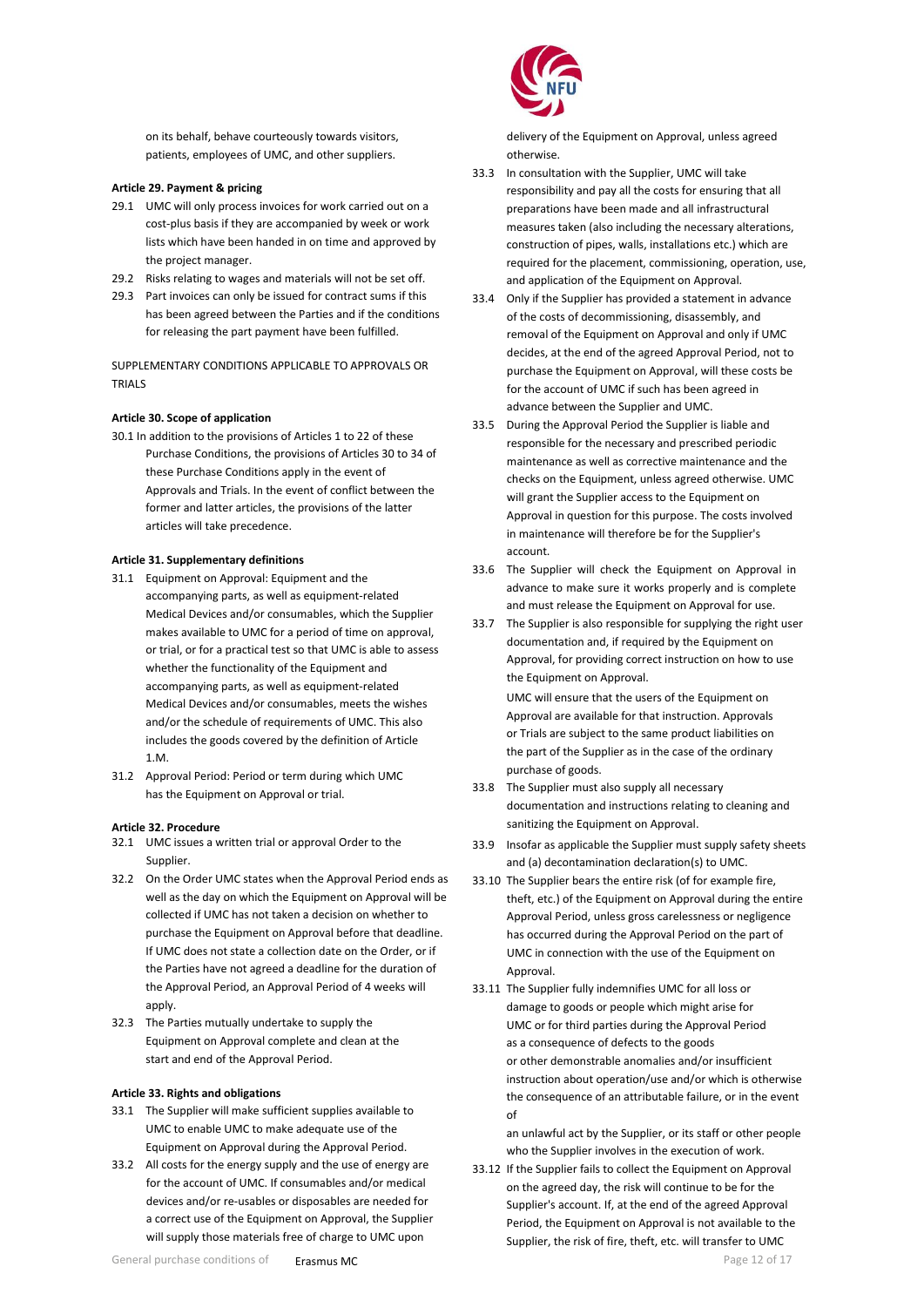on its behalf, behave courteously towards visitors, patients, employees of UMC, and other suppliers.

## <span id="page-11-0"></span>**Article 29. Payment & pricing**

- 29.1 UMC will only process invoices for work carried out on a cost-plus basis if they are accompanied by week or work lists which have been handed in on time and approved by the project manager.
- 29.2 Risks relating to wages and materials will not be set off.
- 29.3 Part invoices can only be issued for contract sums if this has been agreed between the Parties and if the conditions for releasing the part payment have been fulfilled.

SUPPLEMENTARY CONDITIONS APPLICABLE TO APPROVALS OR TRIALS

## <span id="page-11-1"></span>**Article 30. Scope of application**

30.1 In addition to the provisions of Articles 1 to 22 of these Purchase Conditions, the provisions of Articles 30 to 34 of these Purchase Conditions apply in the event of Approvals and Trials. In the event of conflict between the former and latter articles, the provisions of the latter articles will take precedence.

## **Article 31. Supplementary definitions**

- 31.1 Equipment on Approval: Equipment and the accompanying parts, as well as equipment-related Medical Devices and/or consumables, which the Supplier makes available to UMC for a period of time on approval, or trial, or for a practical test so that UMC is able to assess whether the functionality of the Equipment and accompanying parts, as well as equipment-related Medical Devices and/or consumables, meets the wishes and/or the schedule of requirements of UMC. This also includes the goods covered by the definition of Article 1.M.
- 31.2 Approval Period: Period or term during which UMC has the Equipment on Approval or trial.

#### <span id="page-11-2"></span>**Article 32. Procedure**

- 32.1 UMC issues a written trial or approval Order to the Supplier.
- 32.2 On the Order UMC states when the Approval Period ends as well as the day on which the Equipment on Approval will be collected if UMC has not taken a decision on whether to purchase the Equipment on Approval before that deadline. If UMC does not state a collection date on the Order, or if the Parties have not agreed a deadline for the duration of the Approval Period, an Approval Period of 4 weeks will apply.
- 32.3 The Parties mutually undertake to supply the Equipment on Approval complete and clean at the start and end of the Approval Period.

## <span id="page-11-3"></span>**Article 33. Rights and obligations**

- 33.1 The Supplier will make sufficient supplies available to UMC to enable UMC to make adequate use of the Equipment on Approval during the Approval Period.
- 33.2 All costs for the energy supply and the use of energy are for the account of UMC. If consumables and/or medical devices and/or re-usables or disposables are needed for a correct use of the Equipment on Approval, the Supplier will supply those materials free of charge to UMC upon



delivery of the Equipment on Approval, unless agreed otherwise.

- 33.3 In consultation with the Supplier, UMC will take responsibility and pay all the costs for ensuring that all preparations have been made and all infrastructural measures taken (also including the necessary alterations, construction of pipes, walls, installations etc.) which are required for the placement, commissioning, operation, use, and application of the Equipment on Approval.
- 33.4 Only if the Supplier has provided a statement in advance of the costs of decommissioning, disassembly, and removal of the Equipment on Approval and only if UMC decides, at the end of the agreed Approval Period, not to purchase the Equipment on Approval, will these costs be for the account of UMC if such has been agreed in advance between the Supplier and UMC.
- 33.5 During the Approval Period the Supplier is liable and responsible for the necessary and prescribed periodic maintenance as well as corrective maintenance and the checks on the Equipment, unless agreed otherwise. UMC will grant the Supplier access to the Equipment on Approval in question for this purpose. The costs involved in maintenance will therefore be for the Supplier's account.
- 33.6 The Supplier will check the Equipment on Approval in advance to make sure it works properly and is complete and must release the Equipment on Approval for use.
- 33.7 The Supplier is also responsible for supplying the right user documentation and, if required by the Equipment on Approval, for providing correct instruction on how to use the Equipment on Approval.

UMC will ensure that the users of the Equipment on Approval are available for that instruction. Approvals or Trials are subject to the same product liabilities on the part of the Supplier as in the case of the ordinary purchase of goods.

- 33.8 The Supplier must also supply all necessary documentation and instructions relating to cleaning and sanitizing the Equipment on Approval.
- 33.9 Insofar as applicable the Supplier must supply safety sheets and (a) decontamination declaration(s) to UMC.
- 33.10 The Supplier bears the entire risk (of for example fire, theft, etc.) of the Equipment on Approval during the entire Approval Period, unless gross carelessness or negligence has occurred during the Approval Period on the part of UMC in connection with the use of the Equipment on Approval.
- 33.11 The Supplier fully indemnifies UMC for all loss or damage to goods or people which might arise for UMC or for third parties during the Approval Period as a consequence of defects to the goods or other demonstrable anomalies and/or insufficient instruction about operation/use and/or which is otherwise the consequence of an attributable failure, or in the event of

an unlawful act by the Supplier, or its staff or other people who the Supplier involves in the execution of work.

33.12 If the Supplier fails to collect the Equipment on Approval on the agreed day, the risk will continue to be for the Supplier's account. If, at the end of the agreed Approval Period, the Equipment on Approval is not available to the Supplier, the risk of fire, theft, etc. will transfer to UMC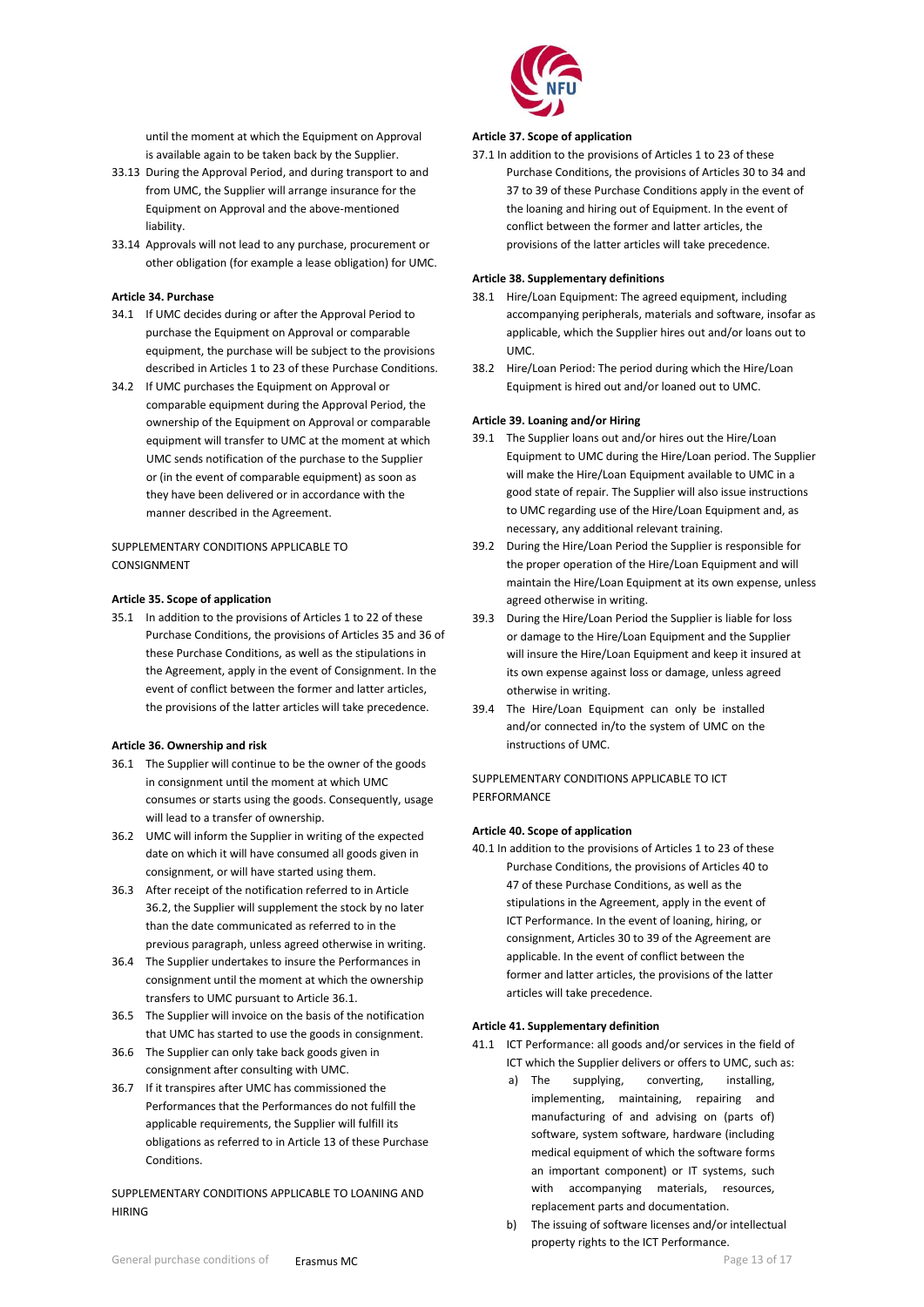until the moment at which the Equipment on Approval is available again to be taken back by the Supplier.

- 33.13 During the Approval Period, and during transport to and from UMC, the Supplier will arrange insurance for the Equipment on Approval and the above-mentioned liability.
- 33.14 Approvals will not lead to any purchase, procurement or other obligation (for example a lease obligation) for UMC.

# <span id="page-12-0"></span>**Article 34. Purchase**

- 34.1 If UMC decides during or after the Approval Period to purchase the Equipment on Approval or comparable equipment, the purchase will be subject to the provisions described in Articles 1 to 23 of these Purchase Conditions.
- 34.2 If UMC purchases the Equipment on Approval or comparable equipment during the Approval Period, the ownership of the Equipment on Approval or comparable equipment will transfer to UMC at the moment at which UMC sends notification of the purchase to the Supplier or (in the event of comparable equipment) as soon as they have been delivered or in accordance with the manner described in the Agreement.

## SUPPLEMENTARY CONDITIONS APPLICABLE TO **CONSIGNMENT**

#### <span id="page-12-1"></span>**Article 35. Scope of application**

35.1 In addition to the provisions of Articles 1 to 22 of these Purchase Conditions, the provisions of Articles 35 and 36 of these Purchase Conditions, as well as the stipulations in the Agreement, apply in the event of Consignment. In the event of conflict between the former and latter articles, the provisions of the latter articles will take precedence.

#### <span id="page-12-2"></span>**Article 36. Ownership and risk**

- 36.1 The Supplier will continue to be the owner of the goods in consignment until the moment at which UMC consumes or starts using the goods. Consequently, usage will lead to a transfer of ownership.
- 36.2 UMC will inform the Supplier in writing of the expected date on which it will have consumed all goods given in consignment, or will have started using them.
- 36.3 After receipt of the notification referred to in Article 36.2, the Supplier will supplement the stock by no later than the date communicated as referred to in the previous paragraph, unless agreed otherwise in writing.
- 36.4 The Supplier undertakes to insure the Performances in consignment until the moment at which the ownership transfers to UMC pursuant to Article 36.1.
- 36.5 The Supplier will invoice on the basis of the notification that UMC has started to use the goods in consignment.
- 36.6 The Supplier can only take back goods given in consignment after consulting with UMC.
- 36.7 If it transpires after UMC has commissioned the Performances that the Performances do not fulfill the applicable requirements, the Supplier will fulfill its obligations as referred to in Article 13 of these Purchase Conditions.

SUPPLEMENTARY CONDITIONS APPLICABLE TO LOANING AND HIRING



#### <span id="page-12-3"></span>**Article 37. Scope of application**

37.1 In addition to the provisions of Articles 1 to 23 of these Purchase Conditions, the provisions of Articles 30 to 34 and 37 to 39 of these Purchase Conditions apply in the event of the loaning and hiring out of Equipment. In the event of conflict between the former and latter articles, the provisions of the latter articles will take precedence.

## <span id="page-12-4"></span>**Article 38. Supplementary definitions**

- 38.1 Hire/Loan Equipment: The agreed equipment, including accompanying peripherals, materials and software, insofar as applicable, which the Supplier hires out and/or loans out to UMC.
- 38.2 Hire/Loan Period: The period during which the Hire/Loan Equipment is hired out and/or loaned out to UMC.

## <span id="page-12-5"></span>**Article 39. Loaning and/or Hiring**

- 39.1 The Supplier loans out and/or hires out the Hire/Loan Equipment to UMC during the Hire/Loan period. The Supplier will make the Hire/Loan Equipment available to UMC in a good state of repair. The Supplier will also issue instructions to UMC regarding use of the Hire/Loan Equipment and, as necessary, any additional relevant training.
- 39.2 During the Hire/Loan Period the Supplier is responsible for the proper operation of the Hire/Loan Equipment and will maintain the Hire/Loan Equipment at its own expense, unless agreed otherwise in writing.
- 39.3 During the Hire/Loan Period the Supplier is liable for loss or damage to the Hire/Loan Equipment and the Supplier will insure the Hire/Loan Equipment and keep it insured at its own expense against loss or damage, unless agreed otherwise in writing.
- 39.4 The Hire/Loan Equipment can only be installed and/or connected in/to the system of UMC on the instructions of UMC.

## SUPPLEMENTARY CONDITIONS APPLICABLE TO ICT PERFORMANCE

#### <span id="page-12-6"></span>**Article 40. Scope of application**

40.1 In addition to the provisions of Articles 1 to 23 of these Purchase Conditions, the provisions of Articles 40 to 47 of these Purchase Conditions, as well as the stipulations in the Agreement, apply in the event of ICT Performance. In the event of loaning, hiring, or consignment, Articles 30 to 39 of the Agreement are applicable. In the event of conflict between the former and latter articles, the provisions of the latter articles will take precedence.

## <span id="page-12-7"></span>**Article 41. Supplementary definition**

- 41.1 ICT Performance: all goods and/or services in the field of ICT which the Supplier delivers or offers to UMC, such as:
	- a) The supplying, converting, installing, implementing, maintaining, repairing and manufacturing of and advising on (parts of) software, system software, hardware (including medical equipment of which the software forms an important component) or IT systems, such with accompanying materials, resources, replacement parts and documentation.
	- b) The issuing of software licenses and/or intellectual property rights to the ICT Performance.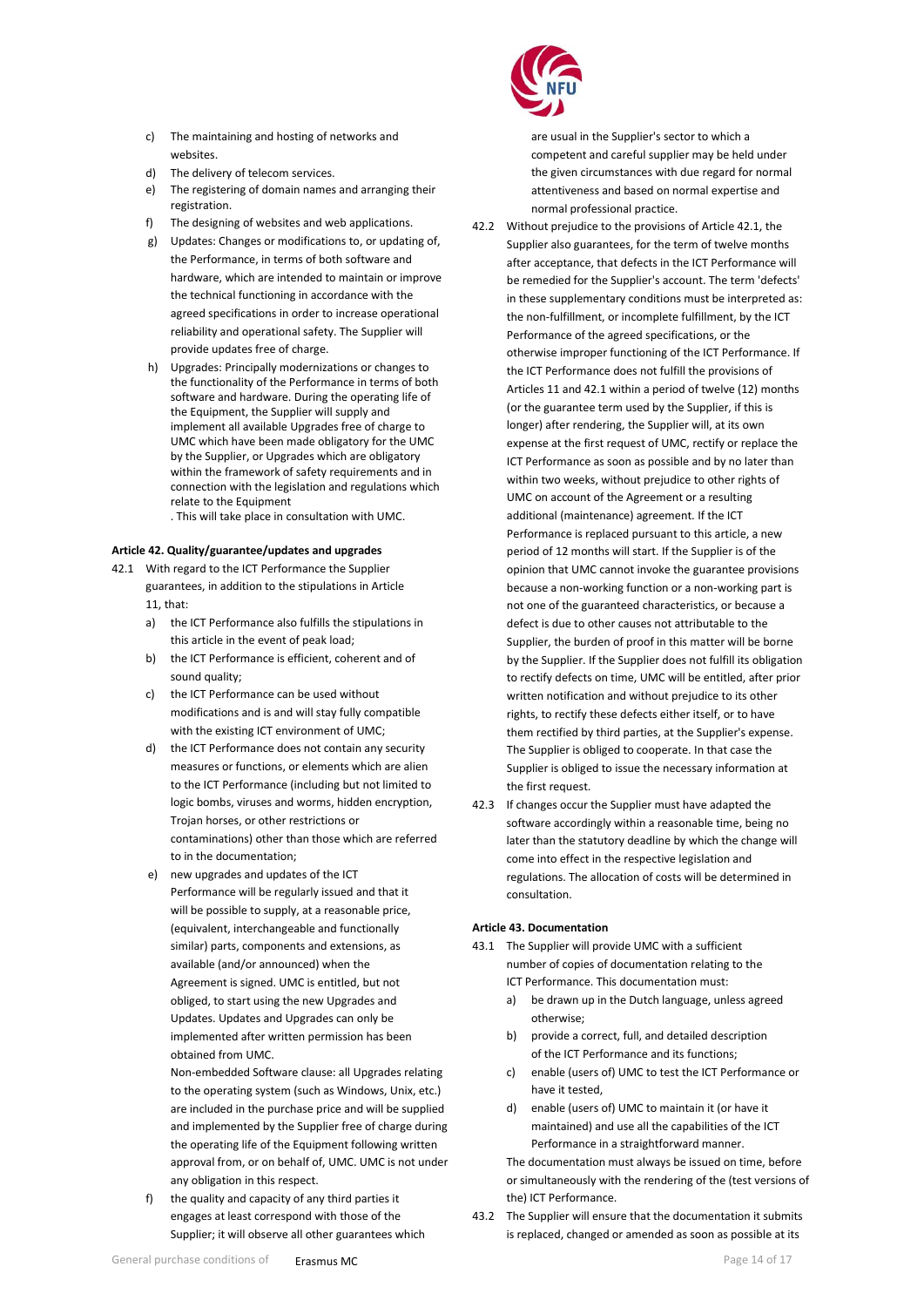- c) The maintaining and hosting of networks and websites.
- d) The delivery of telecom services.
- e) The registering of domain names and arranging their registration.
- f) The designing of websites and web applications.
- g) Updates: Changes or modifications to, or updating of, the Performance, in terms of both software and hardware, which are intended to maintain or improve the technical functioning in accordance with the agreed specifications in order to increase operational reliability and operational safety. The Supplier will provide updates free of charge.
- h) Upgrades: Principally modernizations or changes to the functionality of the Performance in terms of both software and hardware. During the operating life of the Equipment, the Supplier will supply and implement all available Upgrades free of charge to UMC which have been made obligatory for the UMC by the Supplier, or Upgrades which are obligatory within the framework of safety requirements and in connection with the legislation and regulations which relate to the Equipment
	- . This will take place in consultation with UMC.

## <span id="page-13-0"></span>**Article 42. Quality/guarantee/updates and upgrades**

- 42.1 With regard to the ICT Performance the Supplier guarantees, in addition to the stipulations in Article 11, that:
	- a) the ICT Performance also fulfills the stipulations in this article in the event of peak load;
	- b) the ICT Performance is efficient, coherent and of sound quality;
	- c) the ICT Performance can be used without modifications and is and will stay fully compatible with the existing ICT environment of UMC;
	- d) the ICT Performance does not contain any security measures or functions, or elements which are alien to the ICT Performance (including but not limited to logic bombs, viruses and worms, hidden encryption, Trojan horses, or other restrictions or contaminations) other than those which are referred to in the documentation;
	- e) new upgrades and updates of the ICT Performance will be regularly issued and that it will be possible to supply, at a reasonable price, (equivalent, interchangeable and functionally similar) parts, components and extensions, as available (and/or announced) when the Agreement is signed. UMC is entitled, but not obliged, to start using the new Upgrades and Updates. Updates and Upgrades can only be implemented after written permission has been obtained from UMC.

Non-embedded Software clause: all Upgrades relating to the operating system (such as Windows, Unix, etc.) are included in the purchase price and will be supplied and implemented by the Supplier free of charge during the operating life of the Equipment following written approval from, or on behalf of, UMC. UMC is not under any obligation in this respect.

f) the quality and capacity of any third parties it engages at least correspond with those of the Supplier; it will observe all other guarantees which



are usual in the Supplier's sector to which a competent and careful supplier may be held under the given circumstances with due regard for normal attentiveness and based on normal expertise and normal professional practice.

- 42.2 Without prejudice to the provisions of Article 42.1, the Supplier also guarantees, for the term of twelve months after acceptance, that defects in the ICT Performance will be remedied for the Supplier's account. The term 'defects' in these supplementary conditions must be interpreted as: the non-fulfillment, or incomplete fulfillment, by the ICT Performance of the agreed specifications, or the otherwise improper functioning of the ICT Performance. If the ICT Performance does not fulfill the provisions of Articles 11 and 42.1 within a period of twelve (12) months (or the guarantee term used by the Supplier, if this is longer) after rendering, the Supplier will, at its own expense at the first request of UMC, rectify or replace the ICT Performance as soon as possible and by no later than within two weeks, without prejudice to other rights of UMC on account of the Agreement or a resulting additional (maintenance) agreement. If the ICT Performance is replaced pursuant to this article, a new period of 12 months will start. If the Supplier is of the opinion that UMC cannot invoke the guarantee provisions because a non-working function or a non-working part is not one of the guaranteed characteristics, or because a defect is due to other causes not attributable to the Supplier, the burden of proof in this matter will be borne by the Supplier. If the Supplier does not fulfill its obligation to rectify defects on time, UMC will be entitled, after prior written notification and without prejudice to its other rights, to rectify these defects either itself, or to have them rectified by third parties, at the Supplier's expense. The Supplier is obliged to cooperate. In that case the Supplier is obliged to issue the necessary information at the first request.
- 42.3 If changes occur the Supplier must have adapted the software accordingly within a reasonable time, being no later than the statutory deadline by which the change will come into effect in the respective legislation and regulations. The allocation of costs will be determined in consultation.

## <span id="page-13-1"></span>**Article 43. Documentation**

- 43.1 The Supplier will provide UMC with a sufficient number of copies of documentation relating to the ICT Performance. This documentation must:
	- a) be drawn up in the Dutch language, unless agreed otherwise;
	- b) provide a correct, full, and detailed description of the ICT Performance and its functions;
	- c) enable (users of) UMC to test the ICT Performance or have it tested,
	- d) enable (users of) UMC to maintain it (or have it maintained) and use all the capabilities of the ICT Performance in a straightforward manner.

The documentation must always be issued on time, before or simultaneously with the rendering of the (test versions of the) ICT Performance.

43.2 The Supplier will ensure that the documentation it submits is replaced, changed or amended as soon as possible at its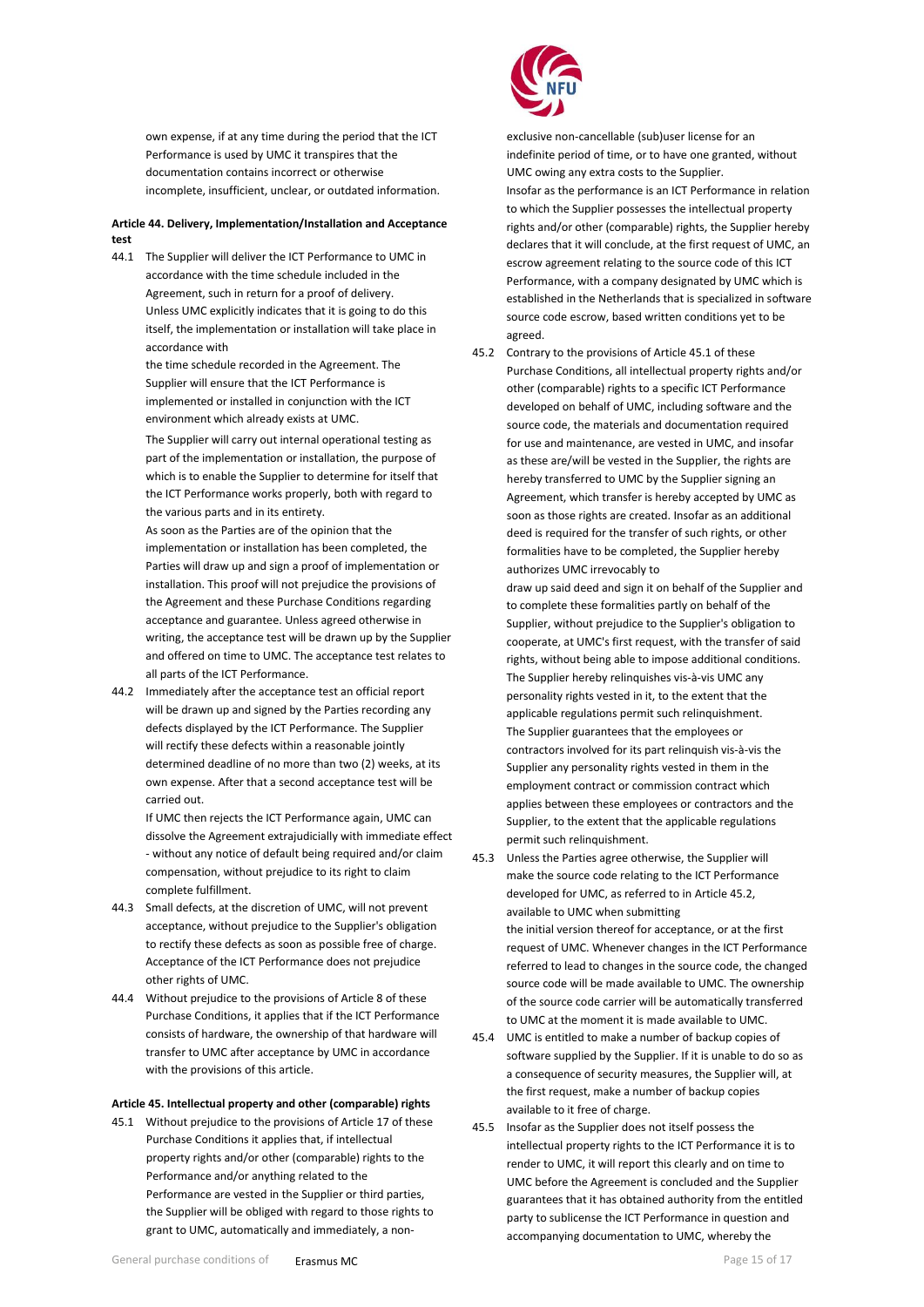own expense, if at any time during the period that the ICT Performance is used by UMC it transpires that the documentation contains incorrect or otherwise incomplete, insufficient, unclear, or outdated information.

## <span id="page-14-0"></span>**Article 44. Delivery, Implementation/Installation and Acceptance test**

44.1 The Supplier will deliver the ICT Performance to UMC in accordance with the time schedule included in the Agreement, such in return for a proof of delivery. Unless UMC explicitly indicates that it is going to do this itself, the implementation or installation will take place in accordance with

> the time schedule recorded in the Agreement. The Supplier will ensure that the ICT Performance is implemented or installed in conjunction with the ICT environment which already exists at UMC.

The Supplier will carry out internal operational testing as part of the implementation or installation, the purpose of which is to enable the Supplier to determine for itself that the ICT Performance works properly, both with regard to the various parts and in its entirety.

As soon as the Parties are of the opinion that the implementation or installation has been completed, the Parties will draw up and sign a proof of implementation or installation. This proof will not prejudice the provisions of the Agreement and these Purchase Conditions regarding acceptance and guarantee. Unless agreed otherwise in writing, the acceptance test will be drawn up by the Supplier and offered on time to UMC. The acceptance test relates to all parts of the ICT Performance.

44.2 Immediately after the acceptance test an official report will be drawn up and signed by the Parties recording any defects displayed by the ICT Performance. The Supplier will rectify these defects within a reasonable jointly determined deadline of no more than two (2) weeks, at its own expense. After that a second acceptance test will be carried out.

> If UMC then rejects the ICT Performance again, UMC can dissolve the Agreement extrajudicially with immediate effect - without any notice of default being required and/or claim compensation, without prejudice to its right to claim complete fulfillment.

- 44.3 Small defects, at the discretion of UMC, will not prevent acceptance, without prejudice to the Supplier's obligation to rectify these defects as soon as possible free of charge. Acceptance of the ICT Performance does not prejudice other rights of UMC.
- 44.4 Without prejudice to the provisions of Article 8 of these Purchase Conditions, it applies that if the ICT Performance consists of hardware, the ownership of that hardware will transfer to UMC after acceptance by UMC in accordance with the provisions of this article.

## **Article 45. Intellectual property and other (comparable) rights**

45.1 Without prejudice to the provisions of Article 17 of these Purchase Conditions it applies that, if intellectual property rights and/or other (comparable) rights to the Performance and/or anything related to the Performance are vested in the Supplier or third parties, the Supplier will be obliged with regard to those rights to grant to UMC, automatically and immediately, a non-



exclusive non-cancellable (sub)user license for an indefinite period of time, or to have one granted, without UMC owing any extra costs to the Supplier. Insofar as the performance is an ICT Performance in relation to which the Supplier possesses the intellectual property rights and/or other (comparable) rights, the Supplier hereby declares that it will conclude, at the first request of UMC, an escrow agreement relating to the source code of this ICT Performance, with a company designated by UMC which is established in the Netherlands that is specialized in software source code escrow, based written conditions yet to be agreed.

45.2 Contrary to the provisions of Article 45.1 of these Purchase Conditions, all intellectual property rights and/or other (comparable) rights to a specific ICT Performance developed on behalf of UMC, including software and the source code, the materials and documentation required for use and maintenance, are vested in UMC, and insofar as these are/will be vested in the Supplier, the rights are hereby transferred to UMC by the Supplier signing an Agreement, which transfer is hereby accepted by UMC as soon as those rights are created. Insofar as an additional deed is required for the transfer of such rights, or other formalities have to be completed, the Supplier hereby authorizes UMC irrevocably to

draw up said deed and sign it on behalf of the Supplier and to complete these formalities partly on behalf of the Supplier, without prejudice to the Supplier's obligation to cooperate, at UMC's first request, with the transfer of said rights, without being able to impose additional conditions. The Supplier hereby relinquishes vis-à-vis UMC any personality rights vested in it, to the extent that the applicable regulations permit such relinquishment. The Supplier guarantees that the employees or contractors involved for its part relinquish vis-à-vis the Supplier any personality rights vested in them in the employment contract or commission contract which applies between these employees or contractors and the Supplier, to the extent that the applicable regulations permit such relinquishment.

- 45.3 Unless the Parties agree otherwise, the Supplier will make the source code relating to the ICT Performance developed for UMC, as referred to in Article 45.2, available to UMC when submitting the initial version thereof for acceptance, or at the first request of UMC. Whenever changes in the ICT Performance referred to lead to changes in the source code, the changed source code will be made available to UMC. The ownership of the source code carrier will be automatically transferred to UMC at the moment it is made available to UMC.
- 45.4 UMC is entitled to make a number of backup copies of software supplied by the Supplier. If it is unable to do so as a consequence of security measures, the Supplier will, at the first request, make a number of backup copies available to it free of charge.
- 45.5 Insofar as the Supplier does not itself possess the intellectual property rights to the ICT Performance it is to render to UMC, it will report this clearly and on time to UMC before the Agreement is concluded and the Supplier guarantees that it has obtained authority from the entitled party to sublicense the ICT Performance in question and accompanying documentation to UMC, whereby the